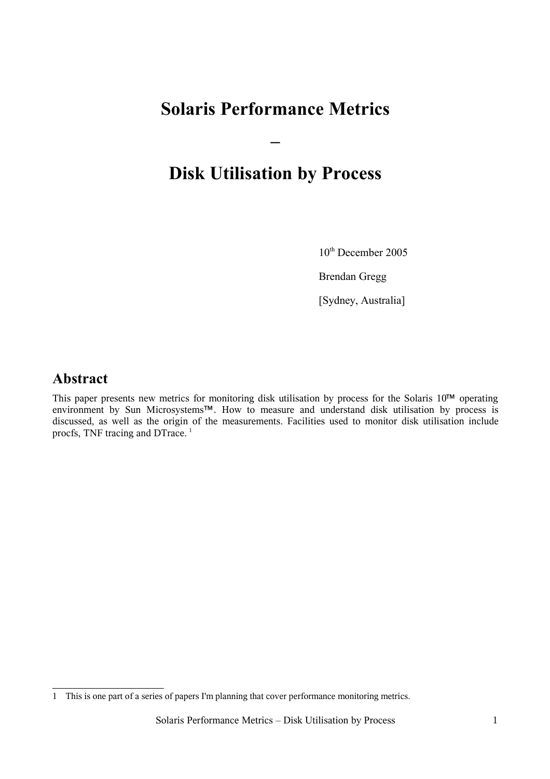# **Solaris Performance Metrics**

**–**

# **Disk Utilisation by Process**

10<sup>th</sup> December 2005 Brendan Gregg [Sydney, Australia]

## **Abstract**

This paper presents new metrics for monitoring disk utilisation by process for the Solaris 10™ operating environment by Sun Microsystems™. How to measure and understand disk utilisation by process is discussed, as well as the origin of the measurements. Facilities used to monitor disk utilisation include procfs, TNF tracing and DTrace.<sup>1</sup>

<sup>1</sup> This is one part of a series of papers I'm planning that cover performance monitoring metrics.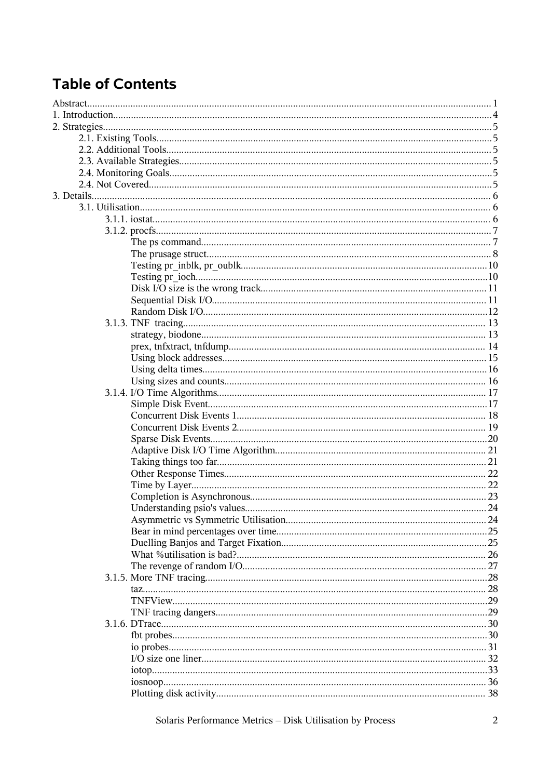# **Table of Contents**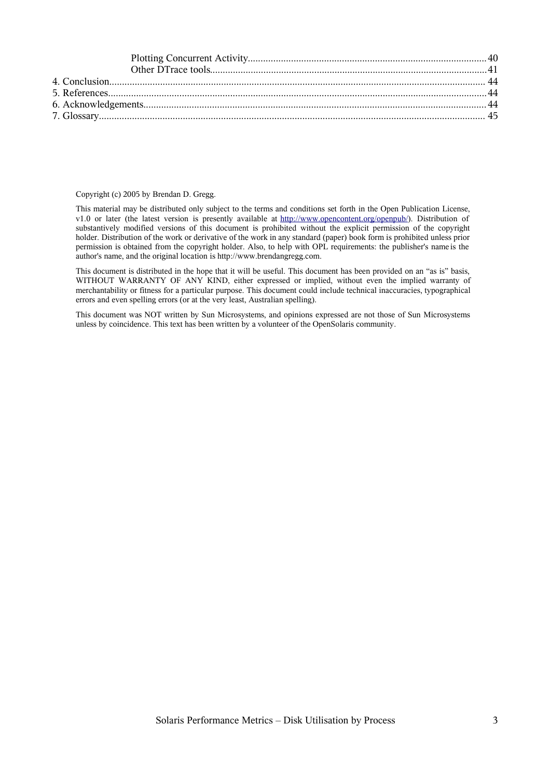#### Copyright (c) 2005 by Brendan D. Gregg.

This material may be distributed only subject to the terms and conditions set forth in the Open Publication License, v1.0 or later (the latest version is presently available at http://www.opencontent.org/openpub/). Distribution of substantively modified versions of this document is prohibited without the explicit permission of the copyright holder. Distribution of the work or derivative of the work in any standard (paper) book form is prohibited unless prior permission is obtained from the copyright holder. Also, to help with OPL requirements: the publisher's name is the author's name, and the original location is http://www.brendangregg.com.

This document is distributed in the hope that it will be useful. This document has been provided on an "as is" basis, WITHOUT WARRANTY OF ANY KIND, either expressed or implied, without even the implied warranty of merchantability or fitness for a particular purpose. This document could include technical inaccuracies, typographical errors and even spelling errors (or at the very least, Australian spelling).

This document was NOT written by Sun Microsystems, and opinions expressed are not those of Sun Microsystems unless by coincidence. This text has been written by a volunteer of the OpenSolaris community.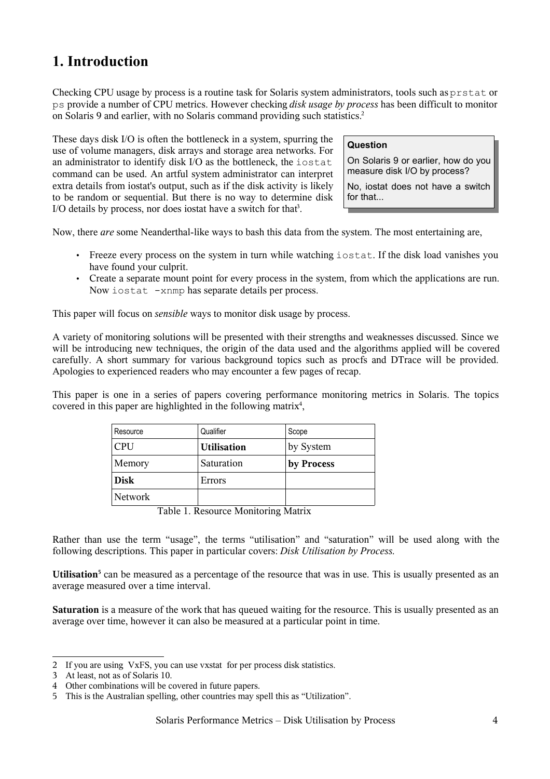# **1. Introduction**

Checking CPU usage by process is a routine task for Solaris system administrators, tools such as prstat or ps provide a number of CPU metrics. However checking *disk usage by process* has been difficult to monitor on Solaris 9 and earlier, with no Solaris command providing such statistics. 2

These days disk I/O is often the bottleneck in a system, spurring the use of volume managers, disk arrays and storage area networks. For an administrator to identify disk I/O as the bottleneck, the iostat command can be used. An artful system administrator can interpret extra details from iostat's output, such as if the disk activity is likely to be random or sequential. But there is no way to determine disk I/O details by process, nor does iostat have a switch for that<sup>3</sup>.

#### **Question**

On Solaris 9 or earlier, how do you measure disk I/O by process?

No, iostat does not have a switch for that...

Now, there *are* some Neanderthal-like ways to bash this data from the system. The most entertaining are,

- Freeze every process on the system in turn while watching iostat. If the disk load vanishes you have found your culprit.
- Create a separate mount point for every process in the system, from which the applications are run. Now iostat -xnmp has separate details per process.

This paper will focus on *sensible* ways to monitor disk usage by process.

A variety of monitoring solutions will be presented with their strengths and weaknesses discussed. Since we will be introducing new techniques, the origin of the data used and the algorithms applied will be covered carefully. A short summary for various background topics such as procfs and DTrace will be provided. Apologies to experienced readers who may encounter a few pages of recap.

This paper is one in a series of papers covering performance monitoring metrics in Solaris. The topics covered in this paper are highlighted in the following matrix<sup>4</sup>,

| Resource       | Qualifier          | Scope      |
|----------------|--------------------|------------|
| <b>CPU</b>     | <b>Utilisation</b> | by System  |
| Memory         | Saturation         | by Process |
| <b>Disk</b>    | Errors             |            |
| <b>Network</b> |                    |            |

Table 1. Resource Monitoring Matrix

Rather than use the term "usage", the terms "utilisation" and "saturation" will be used along with the following descriptions. This paper in particular covers: *Disk Utilisation by Process.*

Utilisation<sup>5</sup> can be measured as a percentage of the resource that was in use. This is usually presented as an average measured over a time interval.

**Saturation** is a measure of the work that has queued waiting for the resource. This is usually presented as an average over time, however it can also be measured at a particular point in time.

<sup>2</sup> If you are using VxFS, you can use vxstat for per process disk statistics.

<sup>3</sup> At least, not as of Solaris 10.

<sup>4</sup> Other combinations will be covered in future papers.

<sup>5</sup> This is the Australian spelling, other countries may spell this as "Utilization".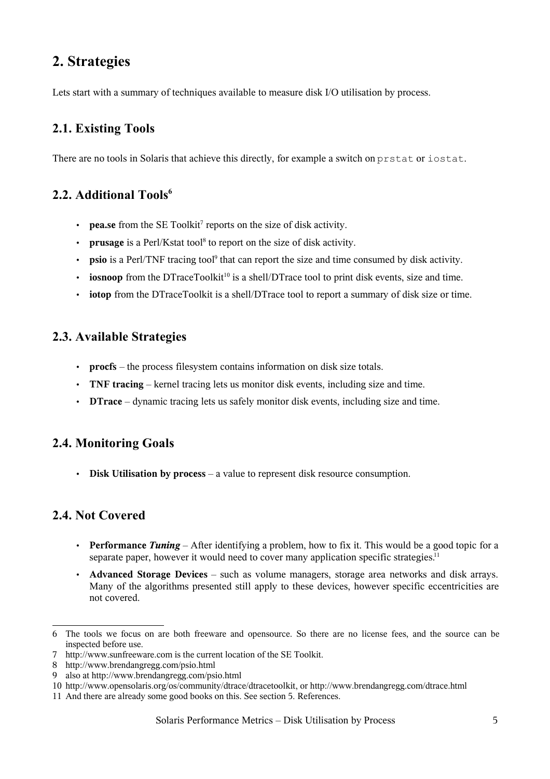# **2. Strategies**

Lets start with a summary of techniques available to measure disk I/O utilisation by process.

# **2.1. Existing Tools**

There are no tools in Solaris that achieve this directly, for example a switch on prstat or iostat.

# **2.2. Additional Tools<sup>6</sup>**

- **pea.se** from the SE Toolkit<sup>7</sup> reports on the size of disk activity.
- **prusage** is a Perl/Kstat tool<sup>8</sup> to report on the size of disk activity.
- **psio** is a Perl/TNF tracing tool<sup>9</sup> that can report the size and time consumed by disk activity.
- **iosnoop** from the DTraceToolkit<sup>10</sup> is a shell/DTrace tool to print disk events, size and time.
- **iotop** from the DTraceToolkit is a shell/DTrace tool to report a summary of disk size or time.

## **2.3. Available Strategies**

- **procfs** the process filesystem contains information on disk size totals.
- **TNF tracing** kernel tracing lets us monitor disk events, including size and time.
- **DTrace** dynamic tracing lets us safely monitor disk events, including size and time.

## **2.4. Monitoring Goals**

• **Disk Utilisation by process** – a value to represent disk resource consumption.

# **2.4. Not Covered**

- **Performance** *Tuning* After identifying a problem, how to fix it. This would be a good topic for a separate paper, however it would need to cover many application specific strategies.<sup>11</sup>
- **Advanced Storage Devices** such as volume managers, storage area networks and disk arrays. Many of the algorithms presented still apply to these devices, however specific eccentricities are not covered.

<sup>6</sup> The tools we focus on are both freeware and opensource. So there are no license fees, and the source can be inspected before use.

<sup>7</sup> http://www.sunfreeware.com is the current location of the SE Toolkit.

<sup>8</sup> http://www.brendangregg.com/psio.html

<sup>9</sup> also at http://www.brendangregg.com/psio.html

<sup>10</sup> http://www.opensolaris.org/os/community/dtrace/dtracetoolkit, or http://www.brendangregg.com/dtrace.html

<sup>11</sup> And there are already some good books on this. See section 5. References.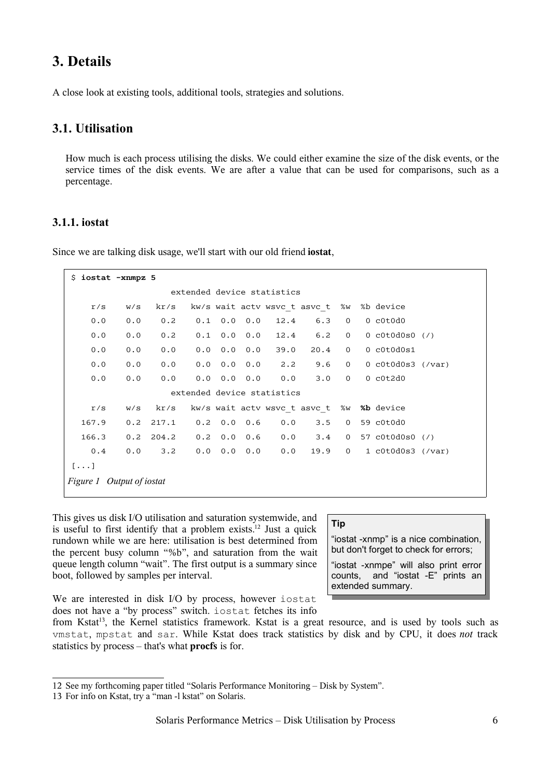# **3. Details**

A close look at existing tools, additional tools, strategies and solutions.

## **3.1. Utilisation**

How much is each process utilising the disks. We could either examine the size of the disk events, or the service times of the disk events. We are after a value that can be used for comparisons, such as a percentage.

## **3.1.1. iostat**

Since we are talking disk usage, we'll start with our old friend **iostat**,

| \$ iostat -xnmpz 5        |     |                   |     |                           |                            |                                 |                |                                 |  |
|---------------------------|-----|-------------------|-----|---------------------------|----------------------------|---------------------------------|----------------|---------------------------------|--|
|                           |     |                   |     |                           | extended device statistics |                                 |                |                                 |  |
| r/s                       | W/S | kr/s              |     |                           |                            | kw/s wait actv wsvc t asvc t %w |                | %b device                       |  |
| 0.0                       | 0.0 | 0.2               |     | $0.1 \quad 0.0 \quad 0.0$ | 12.4                       | 6.3                             | $\overline{0}$ | $0$ $c0t0d0$                    |  |
| 0.0                       | 0.0 | 0.2               |     | $0.1 \quad 0.0 \quad 0.0$ | 12.4                       | 6.2                             | $\mathbf 0$    | $0$ c0t0d0s0 $(7)$              |  |
| 0.0                       | 0.0 | 0.0               | 0.0 | $0.0 \quad 0.0$           | 39.0                       | 20.4                            | $\overline{O}$ | $0$ $c0t0d0s1$                  |  |
| 0.0                       | 0.0 | 0.0               |     | $0.0 \t 0.0 \t 0.0$       | 2.2                        | 9.6                             | $\overline{O}$ | $0$ $c0$ t $0d0s3$ $($ /var $)$ |  |
| 0.0                       | 0.0 | 0.0               |     | $0.0 \t 0.0 \t 0.0$       | 0.0                        | 3.0                             | $\mathbf{O}$   | $0$ $c0t2d0$                    |  |
|                           |     |                   |     |                           | extended device statistics |                                 |                |                                 |  |
| r/s                       | W/S | kr/s              |     |                           |                            | kw/s wait actv wsvc t asvc t %w |                | %b device                       |  |
| 167.9                     | 0.2 | 217.1             |     | $0.2 \quad 0.0 \quad 0.6$ | 0.0                        | 3.5                             | $\overline{0}$ | 59 c0t0d0                       |  |
| 166.3                     | 0.2 | 204.2 0.2 0.0 0.6 |     |                           | 0.0                        | 3.4                             | $\overline{0}$ | 57 c0t0d0s0 (/)                 |  |
| 0.4                       | 0.0 | 3.2               |     | $0.0 \t 0.0 \t 0.0$       | 0.0                        | 19.9                            | $\mathbf{O}$   | $1$ $c0t0d0s3$ $($ /var)        |  |
| $[\ldots]$                |     |                   |     |                           |                            |                                 |                |                                 |  |
| Figure 1 Output of iostat |     |                   |     |                           |                            |                                 |                |                                 |  |

This gives us disk I/O utilisation and saturation systemwide, and is useful to first identify that a problem exists. $^{12}$  Just a quick rundown while we are here: utilisation is best determined from the percent busy column "%b", and saturation from the wait queue length column "wait". The first output is a summary since boot, followed by samples per interval.

We are interested in disk I/O by process, however iostat does not have a "by process" switch. iostat fetches its info

from Kstat<sup>13</sup>, the Kernel statistics framework. Kstat is a great resource, and is used by tools such as vmstat, mpstat and sar. While Kstat does track statistics by disk and by CPU, it does *not* track statistics by process – that's what **procfs** is for.

## **Tip**

"iostat -xnmp" is a nice combination, but don't forget to check for errors; "iostat -xnmpe" will also print error counts, and "iostat -E" prints an extended summary.

<sup>12</sup> See my forthcoming paper titled "Solaris Performance Monitoring – Disk by System".

<sup>13</sup> For info on Kstat, try a "man -l kstat" on Solaris.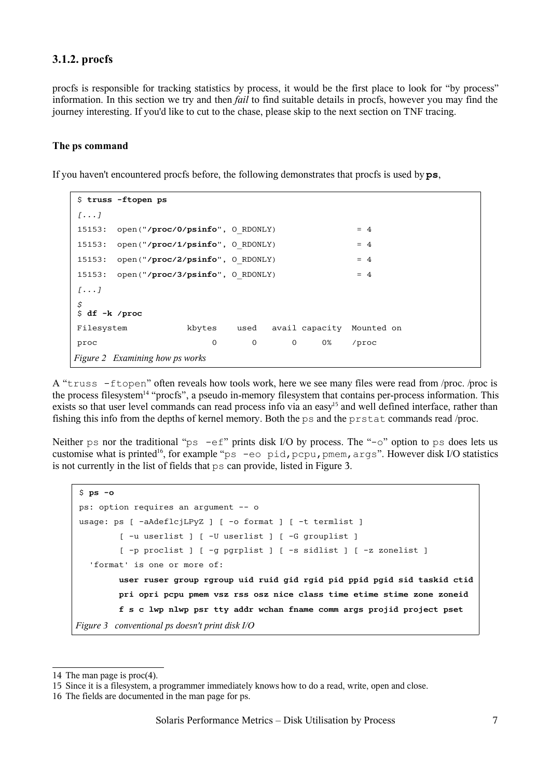## **3.1.2. procfs**

procfs is responsible for tracking statistics by process, it would be the first place to look for "by process" information. In this section we try and then *fail* to find suitable details in procfs, however you may find the journey interesting. If you'd like to cut to the chase, please skip to the next section on TNF tracing.

#### **The ps command**

If you haven't encountered procfs before, the following demonstrates that procfs is used by **ps**,

```
$ truss -ftopen ps
[...]
15153: open("/proc/0/psinfo", O_RDONLY) = 4
15153: open("/proc/1/psinfo", O_RDONLY) = 4
15153: open("/proc/2/psinfo", O_RDONLY) = 4
15153: open("/proc/3/psinfo", O_RDONLY) = 4
[...]
$
$ df -k /proc
Filesystem kbytes used avail capacity Mounted on
proc 0 0 0 0% /proc
Figure 2 Examining how ps works
```
A "truss -ftopen" often reveals how tools work, here we see many files were read from /proc. /proc is the process filesystem<sup>14</sup> "procfs", a pseudo in-memory filesystem that contains per-process information. This exists so that user level commands can read process info via an easy<sup>15</sup> and well defined interface, rather than fishing this info from the depths of kernel memory. Both the ps and the prstat commands read /proc.

Neither ps nor the traditional "ps  $-e f$ " prints disk I/O by process. The "-o" option to ps does lets us customise what is printed<sup>16</sup>, for example "ps -eo pid, pcpu, pmem, args". However disk I/O statistics is not currently in the list of fields that ps can provide, listed in Figure 3.

```
$ ps -o
ps: option requires an argument -- o
usage: ps [ -aAdeflcjLPyZ ] [ -o format ] [ -t termlist ]
           [ -u userlist ] [ -U userlist ] [ -G grouplist ]
          \lceil -p proclist \rceil \lceil -q pqrplist \rceil \lceil -s sidlist \rceil \lceil -z zonelist \rceil 'format' is one or more of:
          user ruser group rgroup uid ruid gid rgid pid ppid pgid sid taskid ctid
          pri opri pcpu pmem vsz rss osz nice class time etime stime zone zoneid
          f s c lwp nlwp psr tty addr wchan fname comm args projid project pset
Figure 3 conventional ps doesn't print disk I/O
```
<sup>14</sup> The man page is proc(4).

<sup>15</sup> Since it is a filesystem, a programmer immediately knows how to do a read, write, open and close.

<sup>16</sup> The fields are documented in the man page for ps.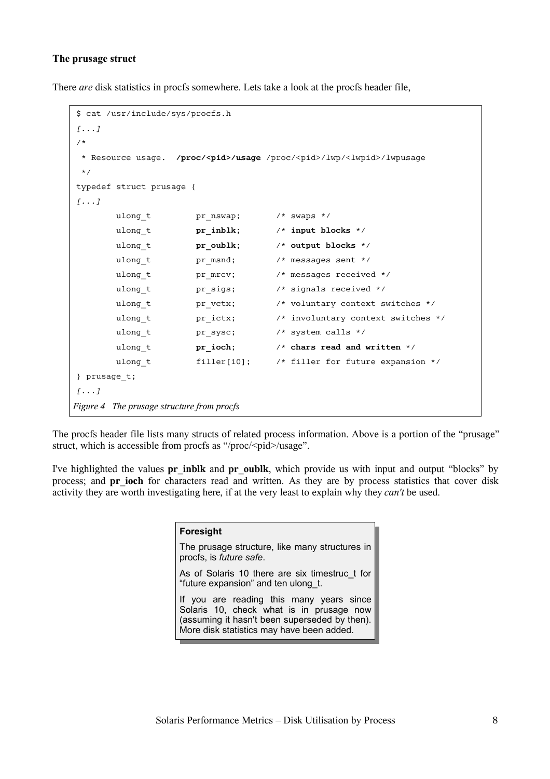#### **The prusage struct**

There *are* disk statistics in procfs somewhere. Lets take a look at the procfs header file,

```
$ cat /usr/include/sys/procfs.h
[...]
/*
 * Resource usage. /proc/<pid>/usage /proc/<pid>/lwp/<lwpid>/lwpusage
 */
typedef struct prusage {
[...]
       ulong t pr_nswap; \gamma /* swaps */
       ulong t pr inblk; \frac{1}{x} input blocks */
       ulong t pr oublk; /* output blocks */
       ulong t pr_msnd; /* messages sent */
       ulong t pr_mrcv; /* messages received */
       ulong t pr sigs; \frac{1}{2} /* signals received */
       ulong t pr_vctx; /* voluntary context switches */
       ulong_t pr_ictx; /* involuntary context switches */
       ulong t pr sysc; /* system calls */
       ulong t pr_ioch; /* chars read and written */
       ulong t filler[10]; /* filler for future expansion */
} prusage_t;
[...]
Figure 4 The prusage structure from procfs
```
The procfs header file lists many structs of related process information. Above is a portion of the "prusage" struct, which is accessible from procfs as "/proc/<pid>/usage".

I've highlighted the values **pr** inblk and **pr** oublk, which provide us with input and output "blocks" by process; and **pr** ioch for characters read and written. As they are by process statistics that cover disk activity they are worth investigating here, if at the very least to explain why they *can't* be used.

#### **Foresight**

The prusage structure, like many structures in procfs, is *future safe*.

As of Solaris 10 there are six timestruc t for "future expansion" and ten ulong\_t.

If you are reading this many years since Solaris 10, check what is in prusage now (assuming it hasn't been superseded by then). More disk statistics may have been added.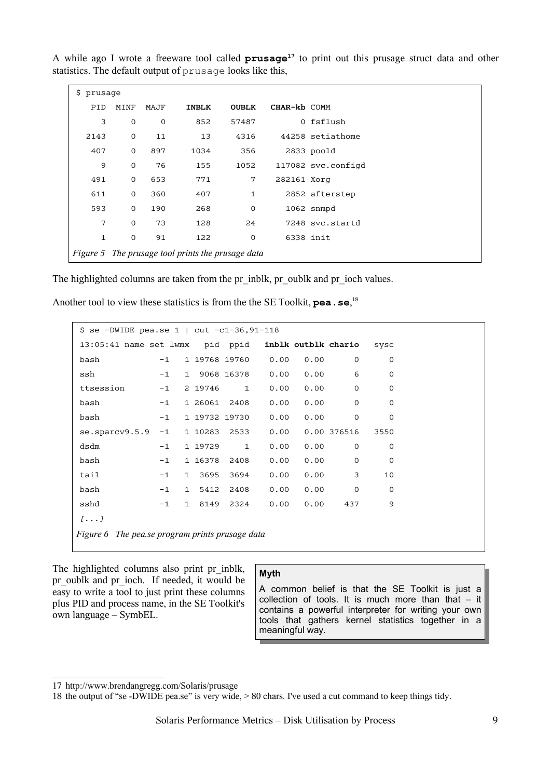| \$ prusage   |              |                                                   |              |              |              |                    |  |  |  |  |  |  |
|--------------|--------------|---------------------------------------------------|--------------|--------------|--------------|--------------------|--|--|--|--|--|--|
| <b>PID</b>   | MINF         | MAJF                                              | <b>INBLK</b> | <b>OUBLK</b> | CHAR-kb COMM |                    |  |  |  |  |  |  |
| 3            | $\mathbf{0}$ | $\overline{0}$                                    | 852          | 57487        |              | 0 fsflush          |  |  |  |  |  |  |
| 2143         | $\mathbf 0$  | 11                                                | 13           | 4316         |              | 44258 setiathome   |  |  |  |  |  |  |
| 407          | $\mathbf{0}$ | 897                                               | 1034         | 356          |              | 2833 poold         |  |  |  |  |  |  |
| 9            | $\mathbf{0}$ | 76                                                | 155          | 1052         |              | 117082 svc.configd |  |  |  |  |  |  |
| 491          | $\mathbf{0}$ | 653                                               | 771          | 7            | 282161 Xorg  |                    |  |  |  |  |  |  |
| 611          | $\mathbf{0}$ | 360                                               | 407          | $\mathbf{1}$ |              | 2852 afterstep     |  |  |  |  |  |  |
| 593          | $\mathbf{0}$ | 190                                               | 268          | $\mathbf{O}$ |              | $1062$ snmpd       |  |  |  |  |  |  |
| 7            | $\mathbf{0}$ | 73                                                | 128          | 24           |              | 7248 svc.startd    |  |  |  |  |  |  |
| $\mathbf{1}$ | $\mathbf{0}$ | 91                                                | 122          | $\mathbf{O}$ | 6338 init    |                    |  |  |  |  |  |  |
|              |              | Figure 5 The prusage tool prints the prusage data |              |              |              |                    |  |  |  |  |  |  |

A while ago I wrote a freeware tool called **prusage<sup>17</sup>** to print out this prusage struct data and other statistics. The default output of prusage looks like this,

The highlighted columns are taken from the pr\_inblk, pr\_oublk and pr\_ioch values.

Another tool to view these statistics is from the the SE Toolkit, **pea.se**,<sup>18</sup>

| $$ se -DWIDE$ pea.se 1   cut -c1-36,91-118                   |      |              |         |               |      |      |              |             |  |
|--------------------------------------------------------------|------|--------------|---------|---------------|------|------|--------------|-------------|--|
| 13:05:41 name set lwmx    pid    ppid    inblk outblk chario |      |              |         |               |      |      |              | sysc        |  |
| bash                                                         | $-1$ |              |         | 1 19768 19760 | 0.00 | 0.00 | 0            | $\mathbf 0$ |  |
| ssh                                                          | $-1$ |              |         | 1 9068 16378  | 0.00 | 0.00 | 6            | $\mathbf 0$ |  |
| ttsession                                                    | $-1$ |              | 2 19746 | $\mathbf{1}$  | 0.00 | 0.00 | $\mathbf 0$  | $\mathbf 0$ |  |
| bash                                                         | $-1$ |              |         | 1 26061 2408  | 0.00 | 0.00 | $\mathbf{0}$ | $\Omega$    |  |
| bash                                                         | $-1$ |              |         | 1 19732 19730 | 0.00 | 0.00 | $\mathbf 0$  | $\mathbf 0$ |  |
| se.sparcv9.5.9                                               | $-1$ |              | 1 10283 | 2533          | 0.00 |      | 0.00 376516  | 3550        |  |
| dsdm                                                         | $-1$ |              | 1 19729 | $\mathbf{1}$  | 0.00 | 0.00 | $\mathbf{0}$ | $\mathbf 0$ |  |
| bash                                                         | $-1$ |              | 1 16378 | 2408          | 0.00 | 0.00 | $\mathbf{0}$ | $\mathbf 0$ |  |
| tail                                                         | $-1$ | 1            | 3695    | 3694          | 0.00 | 0.00 | 3            | 10          |  |
| bash                                                         | $-1$ | $\mathbf{1}$ | 5412    | 2408          | 0.00 | 0.00 | $\mathbf{0}$ | $\mathbf 0$ |  |
| sshd                                                         | $-1$ | $\mathbf{1}$ | 8149    | 2324          | 0.00 | 0.00 | 437          | 9           |  |
| $[\ldots]$                                                   |      |              |         |               |      |      |              |             |  |
| Figure 6 The pea.se program prints prusage data              |      |              |         |               |      |      |              |             |  |

The highlighted columns also print pr\_inblk, pr\_oublk and pr\_ioch. If needed, it would be easy to write a tool to just print these columns plus PID and process name, in the SE Toolkit's own language – SymbEL.

#### **Myth**

A common belief is that the SE Toolkit is just a collection of tools. It is much more than that  $-$  it contains a powerful interpreter for writing your own tools that gathers kernel statistics together in a meaningful way.

<sup>17</sup> http://www.brendangregg.com/Solaris/prusage

<sup>18</sup> the output of "se -DWIDE pea.se" is very wide, > 80 chars. I've used a cut command to keep things tidy.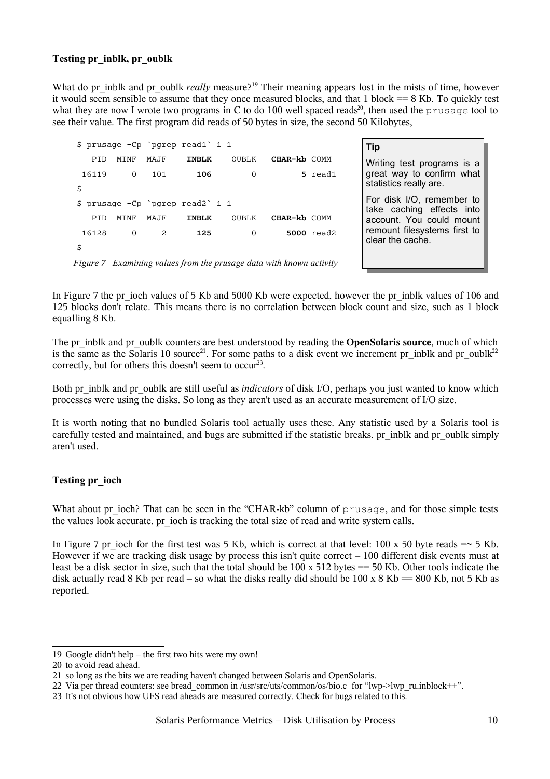### **Testing pr\_inblk, pr\_oublk**

What do pr\_inblk and pr\_oublk *really* measure?<sup>19</sup> Their meaning appears lost in the mists of time, however it would seem sensible to assume that they once measured blocks, and that 1 block  $= 8$  Kb. To quickly test what they are now I wrote two programs in C to do 100 well spaced reads<sup>20</sup>, then used the prusage tool to see their value. The first program did reads of 50 bytes in size, the second 50 Kilobytes,

|            |      |                                          | \$ prusage -Cp `pgrep read1` 1 1 |                                                                     |              |                   | Tip                                                    |
|------------|------|------------------------------------------|----------------------------------|---------------------------------------------------------------------|--------------|-------------------|--------------------------------------------------------|
| <b>PID</b> | MINF | MAJF                                     | <b>INBLK</b>                     | OUBLK                                                               | CHAR-kb COMM |                   | Writing test programs is a                             |
| 16119      |      | $0 \t 101$                               | 106                              | $\Omega$                                                            |              | 5 read1           | great way to confirm what<br>statistics really are.    |
| \$         |      |                                          |                                  |                                                                     |              |                   |                                                        |
|            |      |                                          | \$ prusage -Cp `pgrep read2` 1 1 |                                                                     |              |                   | For disk I/O, remember to<br>take caching effects into |
| <b>PID</b> | MINF | MAJF                                     | <b>INBLK</b>                     | <b>OUBLK</b>                                                        | CHAR-kb COMM |                   | account. You could mount                               |
| 16128      |      | $\begin{array}{ccc} & 0 & 2 \end{array}$ | 125                              | $\Omega$                                                            |              | <b>5000</b> read2 | remount filesystems first to<br>clear the cache.       |
| \$         |      |                                          |                                  |                                                                     |              |                   |                                                        |
|            |      |                                          |                                  | Figure 7 Examining values from the prusage data with known activity |              |                   |                                                        |

In Figure 7 the pr\_ioch values of 5 Kb and 5000 Kb were expected, however the pr\_inblk values of 106 and 125 blocks don't relate. This means there is no correlation between block count and size, such as 1 block equalling 8 Kb.

The pr\_inblk and pr\_oublk counters are best understood by reading the **OpenSolaris source**, much of which is the same as the Solaris 10 source<sup>21</sup>. For some paths to a disk event we increment pr\_inblk and pr\_oublk<sup>22</sup> correctly, but for others this doesn't seem to occur<sup>23</sup>.

Both pr\_inblk and pr\_oublk are still useful as *indicators* of disk I/O, perhaps you just wanted to know which processes were using the disks. So long as they aren't used as an accurate measurement of I/O size.

It is worth noting that no bundled Solaris tool actually uses these. Any statistic used by a Solaris tool is carefully tested and maintained, and bugs are submitted if the statistic breaks. pr\_inblk and pr\_oublk simply aren't used.

#### **Testing pr\_ioch**

What about pr\_ioch? That can be seen in the "CHAR-kb" column of prusage, and for those simple tests the values look accurate. pr\_ioch is tracking the total size of read and write system calls.

In Figure 7 pr ioch for the first test was 5 Kb, which is correct at that level:  $100 \times 50$  byte reads  $=$  5 Kb. However if we are tracking disk usage by process this isn't quite correct  $-100$  different disk events must at least be a disk sector in size, such that the total should be  $100 \times 512$  bytes  $== 50$  Kb. Other tools indicate the disk actually read 8 Kb per read – so what the disks really did should be  $100 \times 8$  Kb == 800 Kb, not 5 Kb as reported.

<sup>19</sup> Google didn't help – the first two hits were my own!

<sup>20</sup> to avoid read ahead.

<sup>21</sup> so long as the bits we are reading haven't changed between Solaris and OpenSolaris.

<sup>22</sup> Via per thread counters: see bread\_common in /usr/src/uts/common/os/bio.c for "lwp->lwp\_ru.inblock++".

<sup>23</sup> It's not obvious how UFS read aheads are measured correctly. Check for bugs related to this.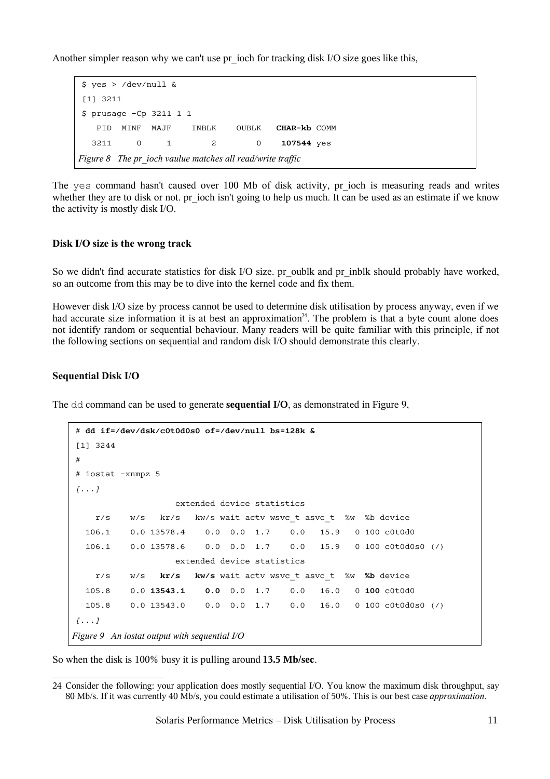Another simpler reason why we can't use pr\_ioch for tracking disk I/O size goes like this,

```
$ yes > /dev/null &
[1] 3211
$ prusage -Cp 3211 1 1
   PID MINF MAJF INBLK OUBLK CHAR-kb COMM
   3211 0 1 2 0 107544 yes
Figure 8 The pr_ioch vaulue matches all read/write traffic
```
The yes command hasn't caused over 100 Mb of disk activity, pr ioch is measuring reads and writes whether they are to disk or not. pr\_ioch isn't going to help us much. It can be used as an estimate if we know the activity is mostly disk I/O.

#### **Disk I/O size is the wrong track**

So we didn't find accurate statistics for disk I/O size, pr\_oublk and pr\_inblk should probably have worked, so an outcome from this may be to dive into the kernel code and fix them.

However disk I/O size by process cannot be used to determine disk utilisation by process anyway, even if we had accurate size information it is at best an approximation<sup>24</sup>. The problem is that a byte count alone does not identify random or sequential behaviour. Many readers will be quite familiar with this principle, if not the following sections on sequential and random disk I/O should demonstrate this clearly.

#### **Sequential Disk I/O**

The dd command can be used to generate **sequential I/O**, as demonstrated in Figure 9,

```
# dd if=/dev/dsk/c0t0d0s0 of=/dev/null bs=128k &
[1] 3244
#
# iostat -xnmpz 5
[...]
                   extended device statistics
     r/s w/s kr/s kw/s wait actv wsvc_t asvc_t %w %b device
   106.1 0.0 13578.4 0.0 0.0 1.7 0.0 15.9 0 100 c0t0d0
   106.1 0.0 13578.6 0.0 0.0 1.7 0.0 15.9 0 100 c0t0d0s0 (/)
                   extended device statistics
     r/s w/s kr/s kw/s wait actv wsvc_t asvc_t %w %b device
   105.8 0.0 13543.1 0.0 0.0 1.7 0.0 16.0 0 100 c0t0d0
   105.8 0.0 13543.0 0.0 0.0 1.7 0.0 16.0 0 100 c0t0d0s0 (/)
[...]
Figure 9 An iostat output with sequential I/O
```
So when the disk is 100% busy it is pulling around **13.5 Mb/sec**.

<sup>24</sup> Consider the following: your application does mostly sequential I/O. You know the maximum disk throughput, say 80 Mb/s. If it was currently 40 Mb/s, you could estimate a utilisation of 50%. This is our best case *approximation*.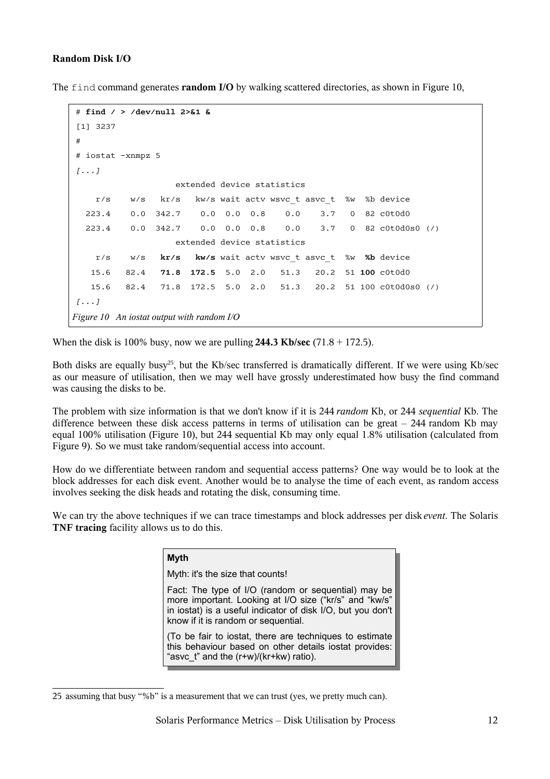#### **Random Disk I/O**

The find command generates **random I/O** by walking scattered directories, as shown in Figure 10,

```
# find / > /dev/null 2>&1 &
[1] 3237
#
# iostat -xnmpz 5
[...]
                   extended device statistics
    r/s w/s kr/s kw/s wait actv wsvc_t asvc_t %w %b device
   223.4 0.0 342.7 0.0 0.0 0.8 0.0 3.7 0 82 c0t0d0
   223.4 0.0 342.7 0.0 0.0 0.8 0.0 3.7 0 82 c0t0d0s0 (/)
                   extended device statistics
    r/s w/s kr/s kw/s wait actv wsvc_t asvc_t %w %b device
    15.6 82.4 71.8 172.5 5.0 2.0 51.3 20.2 51 100 c0t0d0
    15.6 82.4 71.8 172.5 5.0 2.0 51.3 20.2 51 100 c0t0d0s0 (/)
[...]
Figure 10 An iostat output with random I/O
```
When the disk is 100% busy, now we are pulling **244.3 Kb/sec** (71.8 + 172.5).

Both disks are equally busy<sup>25</sup>, but the Kb/sec transferred is dramatically different. If we were using Kb/sec as our measure of utilisation, then we may well have grossly underestimated how busy the find command was causing the disks to be.

The problem with size information is that we don't know if it is 244 *random* Kb, or 244 *sequential* Kb. The difference between these disk access patterns in terms of utilisation can be great  $-244$  random Kb may equal 100% utilisation (Figure 10), but 244 sequential Kb may only equal 1.8% utilisation (calculated from Figure 9). So we must take random/sequential access into account.

How do we differentiate between random and sequential access patterns? One way would be to look at the block addresses for each disk event. Another would be to analyse the time of each event, as random access involves seeking the disk heads and rotating the disk, consuming time.

We can try the above techniques if we can trace timestamps and block addresses per disk *event*. The Solaris **TNF tracing** facility allows us to do this.

| <b>Myth</b>                                                                                                                                                                                                         |
|---------------------------------------------------------------------------------------------------------------------------------------------------------------------------------------------------------------------|
| Myth: it's the size that counts!                                                                                                                                                                                    |
| Fact: The type of I/O (random or sequential) may be<br>more important. Looking at I/O size ("kr/s" and "kw/s"<br>in iostat) is a useful indicator of disk I/O, but you don't<br>know if it is random or sequential. |
| (To be fair to iostat, there are techniques to estimate<br>this behaviour based on other details iostat provides:<br>"asvc t" and the (r+w)/(kr+kw) ratio).                                                         |

<sup>25</sup> assuming that busy "%b" is a measurement that we can trust (yes, we pretty much can).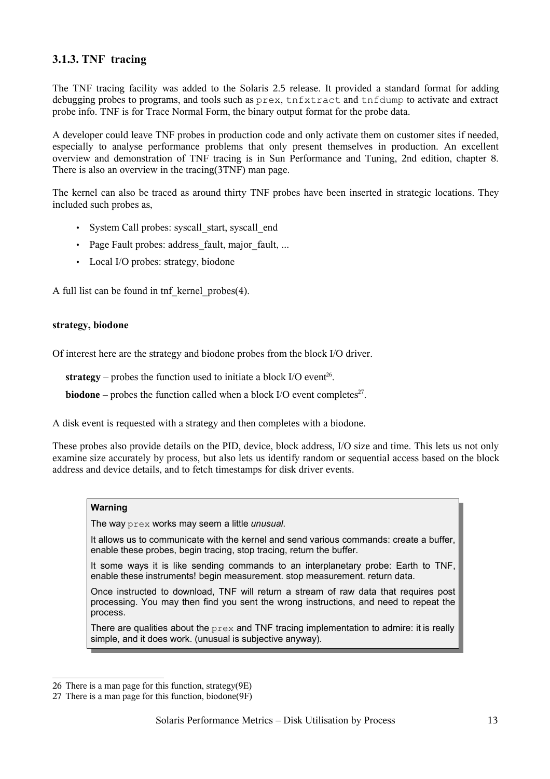## **3.1.3. TNF tracing**

The TNF tracing facility was added to the Solaris 2.5 release. It provided a standard format for adding debugging probes to programs, and tools such as prex, tnfxtract and tnfdump to activate and extract probe info. TNF is for Trace Normal Form, the binary output format for the probe data.

A developer could leave TNF probes in production code and only activate them on customer sites if needed, especially to analyse performance problems that only present themselves in production. An excellent overview and demonstration of TNF tracing is in Sun Performance and Tuning, 2nd edition, chapter 8. There is also an overview in the tracing(3TNF) man page.

The kernel can also be traced as around thirty TNF probes have been inserted in strategic locations. They included such probes as,

- System Call probes: syscall\_start, syscall\_end
- Page Fault probes: address fault, major fault, ...
- Local I/O probes: strategy, biodone

A full list can be found in tnf\_kernel\_probes(4).

#### **strategy, biodone**

Of interest here are the strategy and biodone probes from the block I/O driver.

strategy – probes the function used to initiate a block  $I/O$  event<sup>26</sup>.

**biodone** – probes the function called when a block I/O event completes<sup>27</sup>.

A disk event is requested with a strategy and then completes with a biodone.

These probes also provide details on the PID, device, block address, I/O size and time. This lets us not only examine size accurately by process, but also lets us identify random or sequential access based on the block address and device details, and to fetch timestamps for disk driver events.

#### **Warning**

The way prex works may seem a little *unusual*.

It allows us to communicate with the kernel and send various commands: create a buffer, enable these probes, begin tracing, stop tracing, return the buffer.

It some ways it is like sending commands to an interplanetary probe: Earth to TNF, enable these instruments! begin measurement. stop measurement. return data.

Once instructed to download, TNF will return a stream of raw data that requires post processing. You may then find you sent the wrong instructions, and need to repeat the process.

There are qualities about the  $prex$  and TNF tracing implementation to admire: it is really simple, and it does work. (unusual is subjective anyway).

<sup>26</sup> There is a man page for this function, strategy(9E)

<sup>27</sup> There is a man page for this function, biodone(9F)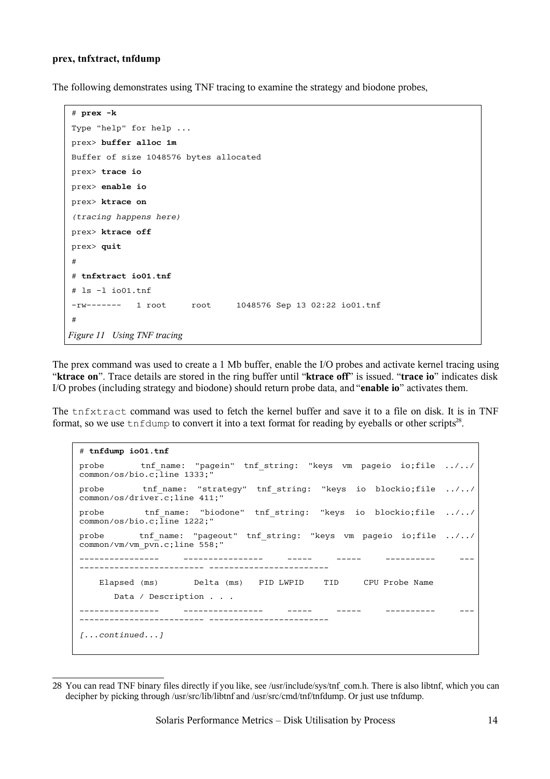#### **prex, tnfxtract, tnfdump**

The following demonstrates using TNF tracing to examine the strategy and biodone probes,

```
# prex -k
Type "help" for help ...
prex> buffer alloc 1m
Buffer of size 1048576 bytes allocated
prex> trace io
prex> enable io
prex> ktrace on
(tracing happens here)
prex> ktrace off
prex> quit
#
# tnfxtract io01.tnf
# ls -l io01.tnf
-rw------- 1 root root 1048576 Sep 13 02:22 io01.tnf
#
Figure 11 Using TNF tracing
```
The prex command was used to create a 1 Mb buffer, enable the I/O probes and activate kernel tracing using "**ktrace on**". Trace details are stored in the ring buffer until "**ktrace off**" is issued. "**trace io**" indicates disk I/O probes (including strategy and biodone) should return probe data, and "**enable io**" activates them.

The tnfxtract command was used to fetch the kernel buffer and save it to a file on disk. It is in TNF format, so we use tnfdump to convert it into a text format for reading by eyeballs or other scripts<sup>28</sup>.

```
# tnfdump io01.tnf
probe tnf name: "pagein" tnf string: "keys vm pageio io;file ../../
common/os/bio.c;line 1333;"
probe tnf_name: "strategy" tnf_string: "keys io blockio;file ../../
common/os/driver.c;line 411;"
probe tnf name: "biodone" tnf string: "keys io blockio;file ../../
common/os/bio.c; line 1222;"<br>probe tnf name: "name
          tnf name: "pageout" tnf_string: "keys vm pageio io;file ../../
common/vm/vm_pvn.c;line 558;"
   ---------------- ---------------- ----- ----- ---------- ---
  ------------------------- ------------------------
    Elapsed (ms) Delta (ms) PID LWPID TID CPU Probe Name
      Data / Description . . .
---------------- ---------------- ----- ----- ---------- ---
------------------------- ------------------------
[...continued...]
```
<sup>28</sup> You can read TNF binary files directly if you like, see /usr/include/sys/tnf\_com.h. There is also libtnf, which you can decipher by picking through /usr/src/lib/libtnf and /usr/src/cmd/tnf/tnfdump. Or just use tnfdump.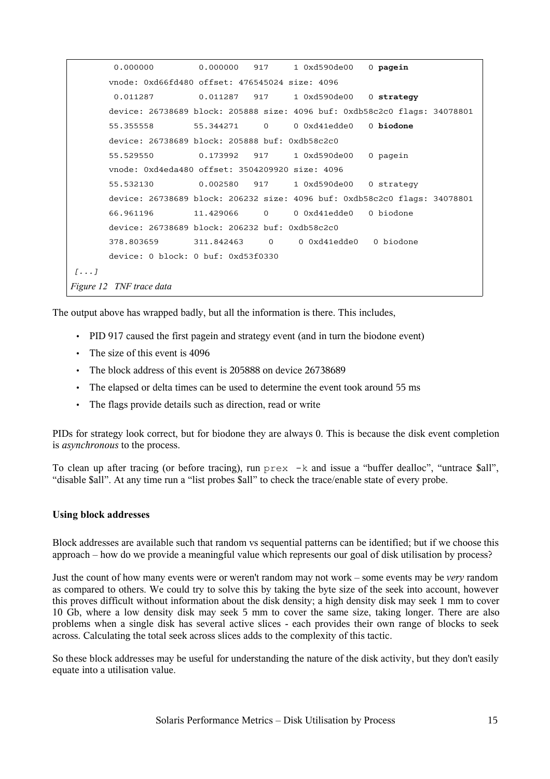```
 0.000000 0.000000 917 1 0xd590de00 0 pagein
       vnode: 0xd66fd480 offset: 476545024 size: 4096
        0.011287 0.011287 917 1 0xd590de00 0 strategy
       device: 26738689 block: 205888 size: 4096 buf: 0xdb58c2c0 flags: 34078801
       55.355558 55.344271 0 0 0xd41edde0 0 biodone
       device: 26738689 block: 205888 buf: 0xdb58c2c0
       55.529550 0.173992 917 1 0xd590de00 0 pagein
       vnode: 0xd4eda480 offset: 3504209920 size: 4096
       55.532130 0.002580 917 1 0xd590de00 0 strategy
       device: 26738689 block: 206232 size: 4096 buf: 0xdb58c2c0 flags: 34078801
       66.961196 11.429066 0 0 0xd41edde0 0 biodone
       device: 26738689 block: 206232 buf: 0xdb58c2c0
       378.803659 311.842463 0 0 0xd41edde0 0 biodone
       device: 0 block: 0 buf: 0xd53f0330
[...]
Figure 12 TNF trace data
```
The output above has wrapped badly, but all the information is there. This includes,

- PID 917 caused the first pagein and strategy event (and in turn the biodone event)
- The size of this event is 4096
- The block address of this event is 205888 on device 26738689
- The elapsed or delta times can be used to determine the event took around 55 ms
- The flags provide details such as direction, read or write

PIDs for strategy look correct, but for biodone they are always 0. This is because the disk event completion is *asynchronous* to the process.

To clean up after tracing (or before tracing), run  $prex -k$  and issue a "buffer dealloc", "untrace \$all", "disable \$all". At any time run a "list probes \$all" to check the trace/enable state of every probe.

#### **Using block addresses**

Block addresses are available such that random vs sequential patterns can be identified; but if we choose this approach – how do we provide a meaningful value which represents our goal of disk utilisation by process?

Just the count of how many events were or weren't random may not work – some events may be *very* random as compared to others. We could try to solve this by taking the byte size of the seek into account, however this proves difficult without information about the disk density; a high density disk may seek 1 mm to cover 10 Gb, where a low density disk may seek 5 mm to cover the same size, taking longer. There are also problems when a single disk has several active slices - each provides their own range of blocks to seek across. Calculating the total seek across slices adds to the complexity of this tactic.

So these block addresses may be useful for understanding the nature of the disk activity, but they don't easily equate into a utilisation value.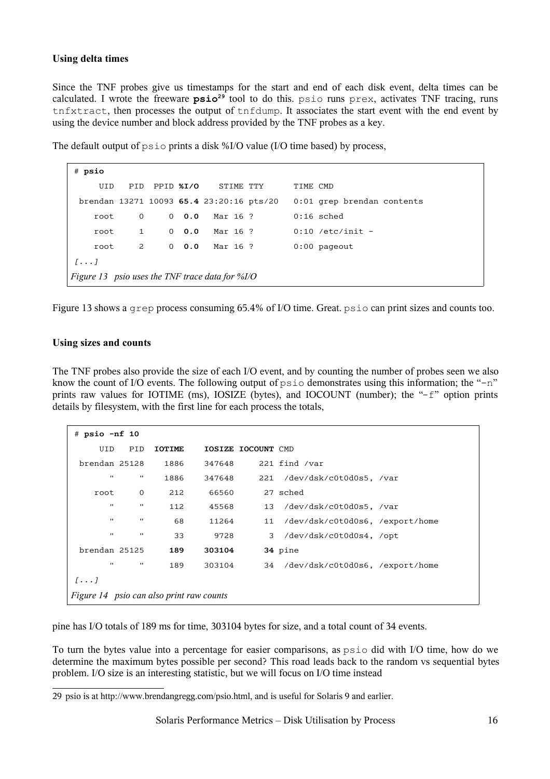### **Using delta times**

Since the TNF probes give us timestamps for the start and end of each disk event, delta times can be calculated. I wrote the freeware **psio<sup>29</sup>** tool to do this. psio runs prex, activates TNF tracing, runs tnfxtract, then processes the output of tnfdump. It associates the start event with the end event by using the device number and block address provided by the TNF probes as a key.

The default output of psio prints a disk %I/O value (I/O time based) by process,

| # psio                                                     |                         |           |              |                                          |                            |
|------------------------------------------------------------|-------------------------|-----------|--------------|------------------------------------------|----------------------------|
| <b>UID</b>                                                 | PID                     | PPID %I/O |              | STIME TTY                                | TIME CMD                   |
|                                                            |                         |           |              | brendan 13271 10093 65.4 23:20:16 pts/20 | 0:01 grep brendan contents |
| root                                                       | $\mathbf{0}$            |           | $0\quad 0.0$ | Mar 16 ?                                 | $0:16$ sched               |
| root                                                       | $\overline{1}$          |           | 0.0          | Mar 16 ?                                 | $0:10$ /etc/init -         |
| root                                                       | $\overline{\mathbf{c}}$ |           | $0\quad 0.0$ | Mar 16 ?                                 | $0:00$ pageout             |
| $\lceil \ldots \rceil$                                     |                         |           |              |                                          |                            |
| Figure 13 psio uses the TNF trace data for $\frac{\%}{\%}$ |                         |           |              |                                          |                            |

Figure 13 shows a grep process consuming 65.4% of I/O time. Great. psio can print sizes and counts too.

#### **Using sizes and counts**

The TNF probes also provide the size of each I/O event, and by counting the number of probes seen we also know the count of I/O events. The following output of  $p\sin \theta$  demonstrates using this information; the "-n" prints raw values for IOTIME (ms), IOSIZE (bytes), and IOCOUNT (number); the "-f" option prints details by filesystem, with the first line for each process the totals,

| # $psio -nf 10$                          |              |        |        |                           |                                 |  |
|------------------------------------------|--------------|--------|--------|---------------------------|---------------------------------|--|
| UID                                      | PID          | IOTIME |        | <b>IOSIZE IOCOUNT CMD</b> |                                 |  |
| brendan 25128                            |              | 1886   | 347648 |                           | 221 find /var                   |  |
| $\mathbf{H}$                             | .,           | 1886   | 347648 | 221                       | /dev/dsk/c0t0d0s5, /var         |  |
| root                                     | $\mathbf 0$  | 212    | 66560  |                           | 27 sched                        |  |
| $\mathbf{H}$                             | $\mathbf{H}$ | 112    | 45568  | 13                        | /dev/dsk/c0t0d0s5, /var         |  |
| $\mathbf{H}$                             | $\mathbf{H}$ | 68     | 11264  | 11                        | /dev/dsk/c0t0d0s6, /export/home |  |
| $\mathbf{H}$                             | $\mathbf{H}$ | 33     | 9728   | 3                         | /dev/dsk/c0t0d0s4, /opt         |  |
| brendan 25125                            |              | 189    | 303104 |                           | 34 pine                         |  |
| $\mathbf{H}$                             | $\mathbf{H}$ | 189    | 303104 | 34                        | /dev/dsk/c0t0d0s6, /export/home |  |
| $[\ldots]$                               |              |        |        |                           |                                 |  |
| Figure 14 psio can also print raw counts |              |        |        |                           |                                 |  |

pine has I/O totals of 189 ms for time, 303104 bytes for size, and a total count of 34 events.

To turn the bytes value into a percentage for easier comparisons, as psio did with I/O time, how do we determine the maximum bytes possible per second? This road leads back to the random vs sequential bytes problem. I/O size is an interesting statistic, but we will focus on I/O time instead

<sup>29</sup> psio is at http://www.brendangregg.com/psio.html, and is useful for Solaris 9 and earlier.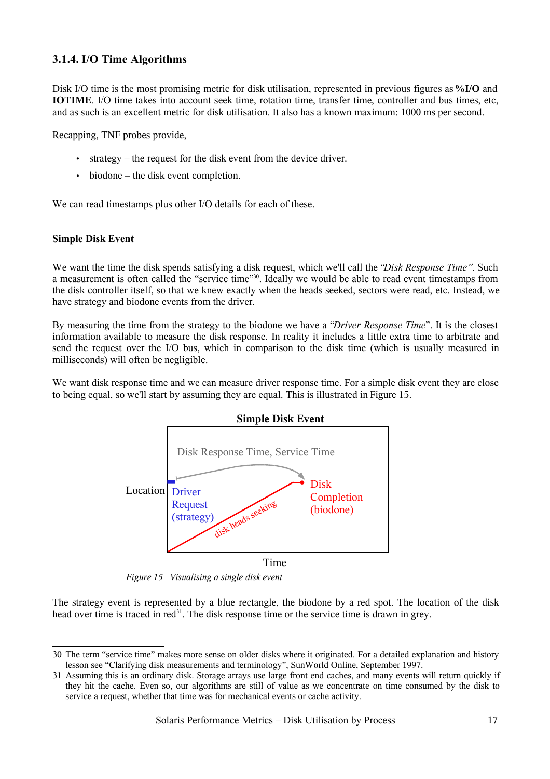## **3.1.4. I/O Time Algorithms**

Disk I/O time is the most promising metric for disk utilisation, represented in previous figures as**%I/O** and **IOTIME**. I/O time takes into account seek time, rotation time, transfer time, controller and bus times, etc, and as such is an excellent metric for disk utilisation. It also has a known maximum: 1000 ms per second.

Recapping, TNF probes provide,

- strategy the request for the disk event from the device driver.
- biodone the disk event completion.

We can read timestamps plus other I/O details for each of these.

#### **Simple Disk Event**

We want the time the disk spends satisfying a disk request, which we'll call the "*Disk Response Time"*. Such a measurement is often called the "service time"<sup>30</sup>. Ideally we would be able to read event timestamps from the disk controller itself, so that we knew exactly when the heads seeked, sectors were read, etc. Instead, we have strategy and biodone events from the driver.

By measuring the time from the strategy to the biodone we have a "*Driver Response Time*". It is the closest information available to measure the disk response. In reality it includes a little extra time to arbitrate and send the request over the I/O bus, which in comparison to the disk time (which is usually measured in milliseconds) will often be negligible.

We want disk response time and we can measure driver response time. For a simple disk event they are close to being equal, so we'll start by assuming they are equal. This is illustrated in Figure 15.



**Simple Disk Event**

*Figure 15 Visualising a single disk event*

The strategy event is represented by a blue rectangle, the biodone by a red spot. The location of the disk head over time is traced in  $\text{red}^{31}$ . The disk response time or the service time is drawn in grey.

<sup>30</sup> The term "service time" makes more sense on older disks where it originated. For a detailed explanation and history lesson see "Clarifying disk measurements and terminology", SunWorld Online, September 1997.

<sup>31</sup> Assuming this is an ordinary disk. Storage arrays use large front end caches, and many events will return quickly if they hit the cache. Even so, our algorithms are still of value as we concentrate on time consumed by the disk to service a request, whether that time was for mechanical events or cache activity.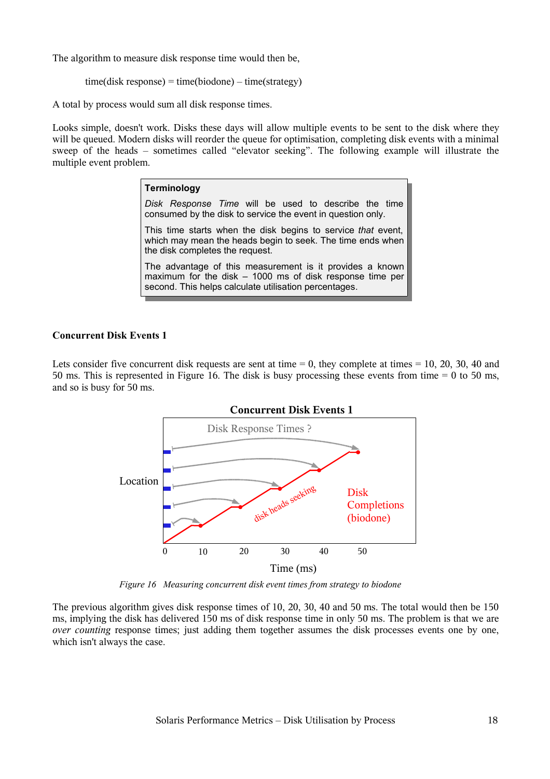The algorithm to measure disk response time would then be,

 $time(disk response) = time(biodone) - time(strategy)$ 

A total by process would sum all disk response times.

Looks simple, doesn't work. Disks these days will allow multiple events to be sent to the disk where they will be queued. Modern disks will reorder the queue for optimisation, completing disk events with a minimal sweep of the heads – sometimes called "elevator seeking". The following example will illustrate the multiple event problem.

| <b>Terminology</b>                                                                                                                                                              |
|---------------------------------------------------------------------------------------------------------------------------------------------------------------------------------|
| Disk Response Time will be used to describe the time<br>consumed by the disk to service the event in question only.                                                             |
| This time starts when the disk begins to service that event,<br>which may mean the heads begin to seek. The time ends when<br>the disk completes the request.                   |
| The advantage of this measurement is it provides a known<br>maximum for the disk $-$ 1000 ms of disk response time per<br>second. This helps calculate utilisation percentages. |

## **Concurrent Disk Events 1**

Lets consider five concurrent disk requests are sent at time  $= 0$ , they complete at times  $= 10, 20, 30, 40$  and 50 ms. This is represented in Figure 16. The disk is busy processing these events from time = 0 to 50 ms, and so is busy for 50 ms.



*Figure 16 Measuring concurrent disk event times from strategy to biodone*

The previous algorithm gives disk response times of 10, 20, 30, 40 and 50 ms. The total would then be 150 ms, implying the disk has delivered 150 ms of disk response time in only 50 ms. The problem is that we are *over counting* response times; just adding them together assumes the disk processes events one by one, which isn't always the case.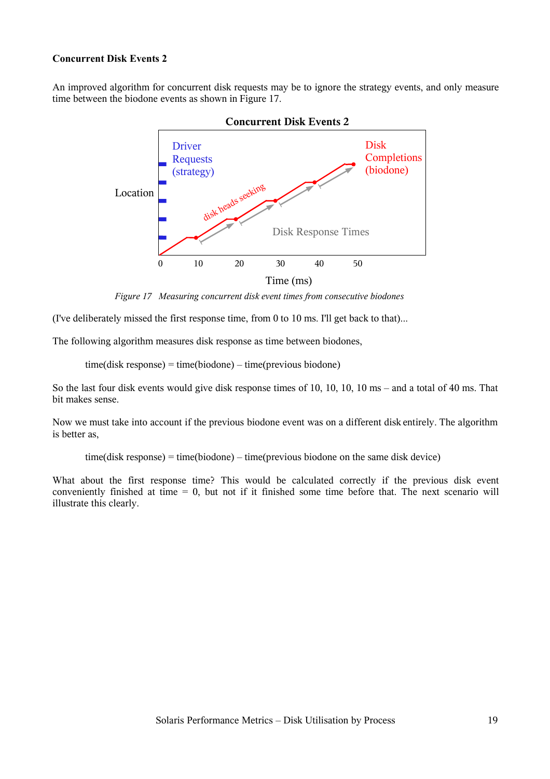#### **Concurrent Disk Events 2**

An improved algorithm for concurrent disk requests may be to ignore the strategy events, and only measure time between the biodone events as shown in Figure 17.



**Concurrent Disk Events 2**

*Figure 17 Measuring concurrent disk event times from consecutive biodones*

(I've deliberately missed the first response time, from 0 to 10 ms. I'll get back to that)...

The following algorithm measures disk response as time between biodones,

time(disk response) = time(biodone) – time(previous biodone)

So the last four disk events would give disk response times of 10, 10, 10, 10 ms – and a total of 40 ms. That bit makes sense.

Now we must take into account if the previous biodone event was on a different disk entirely. The algorithm is better as,

time(disk response) = time(biodone) – time(previous biodone on the same disk device)

What about the first response time? This would be calculated correctly if the previous disk event conveniently finished at time = 0, but not if it finished some time before that. The next scenario will illustrate this clearly.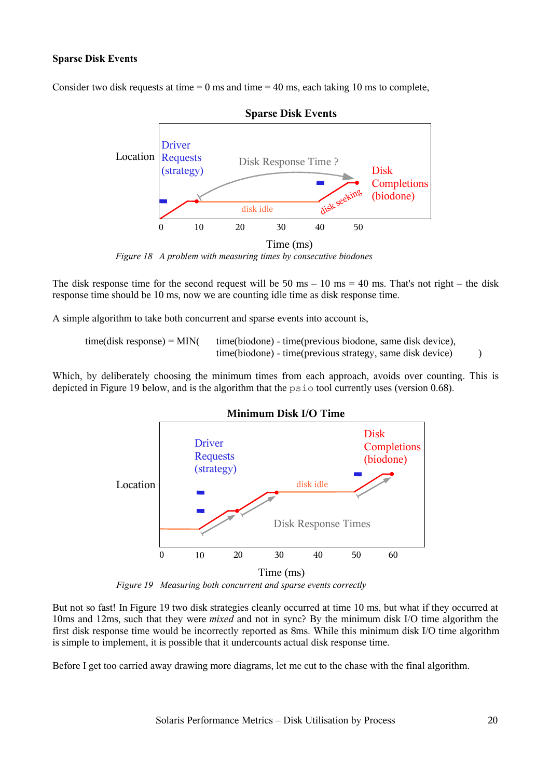#### **Sparse Disk Events**

Consider two disk requests at time  $= 0$  ms and time  $= 40$  ms, each taking 10 ms to complete,





The disk response time for the second request will be  $50 \text{ ms} - 10 \text{ ms} = 40 \text{ ms}$ . That's not right – the disk response time should be 10 ms, now we are counting idle time as disk response time.

A simple algorithm to take both concurrent and sparse events into account is,

 $time(disk response) = MIN($  time(biodone) - time(previous biodone, same disk device), time(biodone) - time(previous strategy, same disk device) )

Which, by deliberately choosing the minimum times from each approach, avoids over counting. This is depicted in Figure 19 below, and is the algorithm that the psio tool currently uses (version 0.68).



*Figure 19 Measuring both concurrent and sparse events correctly*

But not so fast! In Figure 19 two disk strategies cleanly occurred at time 10 ms, but what if they occurred at 10ms and 12ms, such that they were *mixed* and not in sync? By the minimum disk I/O time algorithm the first disk response time would be incorrectly reported as 8ms. While this minimum disk I/O time algorithm is simple to implement, it is possible that it undercounts actual disk response time.

Before I get too carried away drawing more diagrams, let me cut to the chase with the final algorithm.

*Figure 18 A problem with measuring times by consecutive biodones*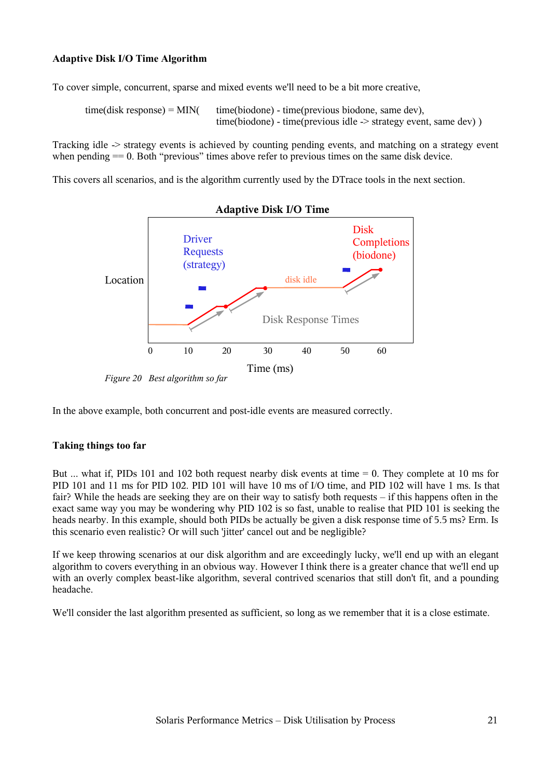#### **Adaptive Disk I/O Time Algorithm**

To cover simple, concurrent, sparse and mixed events we'll need to be a bit more creative,

 $time(disk response) = MIN($  time(biodone) - time(previous biodone, same dev), time(biodone) - time(previous idle -> strategy event, same dev) )

Tracking idle -> strategy events is achieved by counting pending events, and matching on a strategy event when pending  $== 0$ . Both "previous" times above refer to previous times on the same disk device.

This covers all scenarios, and is the algorithm currently used by the DTrace tools in the next section.



*Figure 20 Best algorithm so far*

In the above example, both concurrent and post-idle events are measured correctly.

#### **Taking things too far**

But ... what if, PIDs 101 and 102 both request nearby disk events at time = 0. They complete at 10 ms for PID 101 and 11 ms for PID 102. PID 101 will have 10 ms of I/O time, and PID 102 will have 1 ms. Is that fair? While the heads are seeking they are on their way to satisfy both requests – if this happens often in the exact same way you may be wondering why PID 102 is so fast, unable to realise that PID 101 is seeking the heads nearby. In this example, should both PIDs be actually be given a disk response time of 5.5 ms? Erm. Is this scenario even realistic? Or will such 'jitter' cancel out and be negligible?

If we keep throwing scenarios at our disk algorithm and are exceedingly lucky, we'll end up with an elegant algorithm to covers everything in an obvious way. However I think there is a greater chance that we'll end up with an overly complex beast-like algorithm, several contrived scenarios that still don't fit, and a pounding headache.

We'll consider the last algorithm presented as sufficient, so long as we remember that it is a close estimate.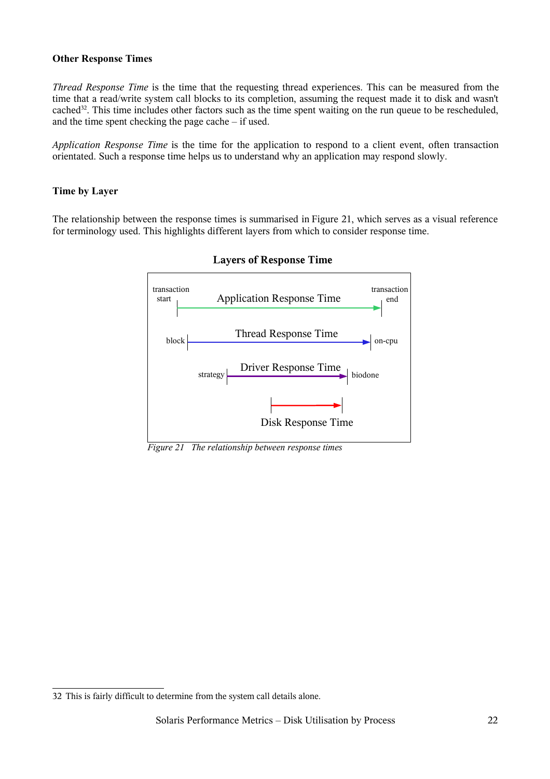### **Other Response Times**

*Thread Response Time* is the time that the requesting thread experiences. This can be measured from the time that a read/write system call blocks to its completion, assuming the request made it to disk and wasn't cached<sup>32</sup>. This time includes other factors such as the time spent waiting on the run queue to be rescheduled, and the time spent checking the page cache – if used.

*Application Response Time* is the time for the application to respond to a client event, often transaction orientated. Such a response time helps us to understand why an application may respond slowly.

#### **Time by Layer**

The relationship between the response times is summarised in Figure 21, which serves as a visual reference for terminology used. This highlights different layers from which to consider response time.



**Layers of Response Time**

*Figure 21 The relationship between response times*

<sup>32</sup> This is fairly difficult to determine from the system call details alone.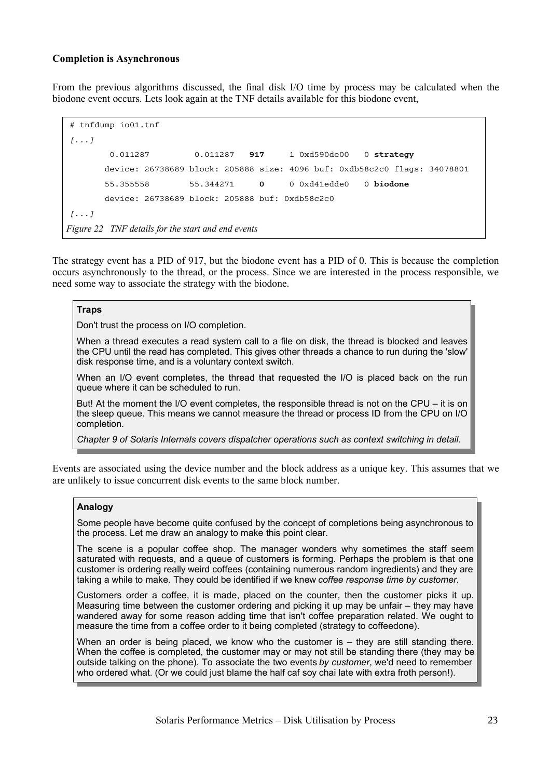#### **Completion is Asynchronous**

From the previous algorithms discussed, the final disk I/O time by process may be calculated when the biodone event occurs. Lets look again at the TNF details available for this biodone event,

# tnfdump io01.tnf *[...]* 0.011287 0.011287 **917** 1 0xd590de00 0 **strategy** device: 26738689 block: 205888 size: 4096 buf: 0xdb58c2c0 flags: 34078801 55.355558 55.344271 **0** 0 0xd41edde0 0 **biodone** device: 26738689 block: 205888 buf: 0xdb58c2c0 *[...] Figure 22 TNF details for the start and end events*

The strategy event has a PID of 917, but the biodone event has a PID of 0. This is because the completion occurs asynchronously to the thread, or the process. Since we are interested in the process responsible, we need some way to associate the strategy with the biodone.

#### **Traps**

Don't trust the process on I/O completion.

When a thread executes a read system call to a file on disk, the thread is blocked and leaves the CPU until the read has completed. This gives other threads a chance to run during the 'slow' disk response time, and is a voluntary context switch.

When an I/O event completes, the thread that requested the I/O is placed back on the run queue where it can be scheduled to run.

But! At the moment the I/O event completes, the responsible thread is not on the CPU – it is on the sleep queue. This means we cannot measure the thread or process ID from the CPU on I/O completion.

*Chapter 9 of Solaris Internals covers dispatcher operations such as context switching in detail.*

Events are associated using the device number and the block address as a unique key. This assumes that we are unlikely to issue concurrent disk events to the same block number.

### **Analogy**

Some people have become quite confused by the concept of completions being asynchronous to the process. Let me draw an analogy to make this point clear.

The scene is a popular coffee shop. The manager wonders why sometimes the staff seem saturated with requests, and a queue of customers is forming. Perhaps the problem is that one customer is ordering really weird coffees (containing numerous random ingredients) and they are taking a while to make. They could be identified if we knew *coffee response time by customer*.

Customers order a coffee, it is made, placed on the counter, then the customer picks it up. Measuring time between the customer ordering and picking it up may be unfair – they may have wandered away for some reason adding time that isn't coffee preparation related. We ought to measure the time from a coffee order to it being completed (strategy to coffeedone).

When an order is being placed, we know who the customer is - they are still standing there. When the coffee is completed, the customer may or may not still be standing there (they may be outside talking on the phone). To associate the two events*by customer*, we'd need to remember who ordered what. (Or we could just blame the half caf soy chai late with extra froth person!).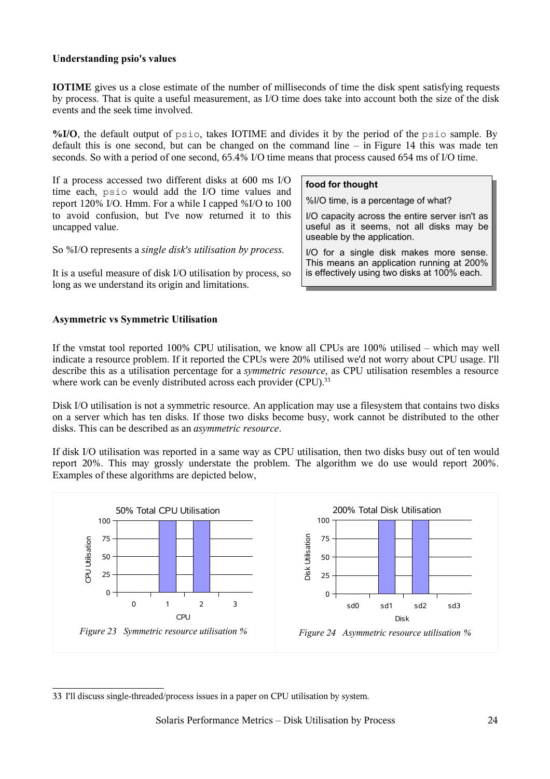#### **Understanding psio's values**

**IOTIME** gives us a close estimate of the number of milliseconds of time the disk spent satisfying requests by process. That is quite a useful measurement, as I/O time does take into account both the size of the disk events and the seek time involved.

**%I/O**, the default output of psio, takes IOTIME and divides it by the period of the psio sample. By default this is one second, but can be changed on the command line – in Figure 14 this was made ten seconds. So with a period of one second, 65.4% I/O time means that process caused 654 ms of I/O time.

If a process accessed two different disks at 600 ms I/O time each, psio would add the I/O time values and report 120% I/O. Hmm. For a while I capped %I/O to 100 to avoid confusion, but I've now returned it to this uncapped value.

So %I/O represents a *single disk's utilisation by process*.

It is a useful measure of disk I/O utilisation by process, so long as we understand its origin and limitations.

#### **Asymmetric vs Symmetric Utilisation**

If the vmstat tool reported 100% CPU utilisation, we know all CPUs are 100% utilised – which may well indicate a resource problem. If it reported the CPUs were 20% utilised we'd not worry about CPU usage. I'll describe this as a utilisation percentage for a *symmetric resource*, as CPU utilisation resembles a resource where work can be evenly distributed across each provider (CPU).<sup>33</sup>

Disk I/O utilisation is not a symmetric resource. An application may use a filesystem that contains two disks on a server which has ten disks. If those two disks become busy, work cannot be distributed to the other disks. This can be described as an *asymmetric resource*.

If disk I/O utilisation was reported in a same way as CPU utilisation, then two disks busy out of ten would report 20%. This may grossly understate the problem. The algorithm we do use would report 200%. Examples of these algorithms are depicted below,



33 I'll discuss single-threaded/process issues in a paper on CPU utilisation by system.

## **food for thought**

%I/O time, is a percentage of what?

I/O capacity across the entire server isn't as useful as it seems, not all disks may be useable by the application.

I/O for a single disk makes more sense. This means an application running at 200% is effectively using two disks at 100% each.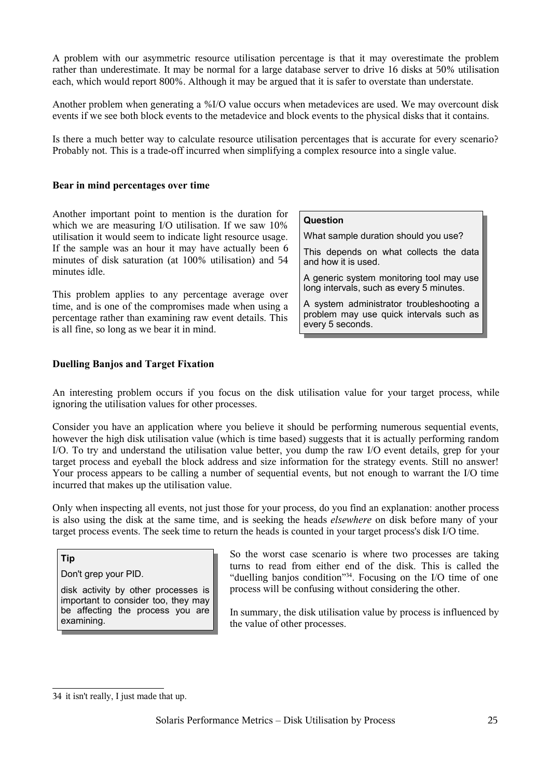A problem with our asymmetric resource utilisation percentage is that it may overestimate the problem rather than underestimate. It may be normal for a large database server to drive 16 disks at 50% utilisation each, which would report 800%. Although it may be argued that it is safer to overstate than understate.

Another problem when generating a %I/O value occurs when metadevices are used. We may overcount disk events if we see both block events to the metadevice and block events to the physical disks that it contains.

Is there a much better way to calculate resource utilisation percentages that is accurate for every scenario? Probably not. This is a trade-off incurred when simplifying a complex resource into a single value.

#### **Bear in mind percentages over time**

Another important point to mention is the duration for which we are measuring I/O utilisation. If we saw 10% utilisation it would seem to indicate light resource usage. If the sample was an hour it may have actually been 6 minutes of disk saturation (at 100% utilisation) and 54 minutes idle.

This problem applies to any percentage average over time, and is one of the compromises made when using a percentage rather than examining raw event details. This is all fine, so long as we bear it in mind.

#### **Question**

What sample duration should you use?

This depends on what collects the data and how it is used.

A generic system monitoring tool may use long intervals, such as every 5 minutes.

A system administrator troubleshooting a problem may use quick intervals such as every 5 seconds.

#### **Duelling Banjos and Target Fixation**

An interesting problem occurs if you focus on the disk utilisation value for your target process, while ignoring the utilisation values for other processes.

Consider you have an application where you believe it should be performing numerous sequential events, however the high disk utilisation value (which is time based) suggests that it is actually performing random I/O. To try and understand the utilisation value better, you dump the raw I/O event details, grep for your target process and eyeball the block address and size information for the strategy events. Still no answer! Your process appears to be calling a number of sequential events, but not enough to warrant the I/O time incurred that makes up the utilisation value.

Only when inspecting all events, not just those for your process, do you find an explanation: another process is also using the disk at the same time, and is seeking the heads *elsewhere* on disk before many of your target process events. The seek time to return the heads is counted in your target process's disk I/O time.

**Tip**

Don't grep your PID.

disk activity by other processes is important to consider too, they may be affecting the process you are examining.

So the worst case scenario is where two processes are taking turns to read from either end of the disk. This is called the "duelling banjos condition"<sup>34</sup>. Focusing on the I/O time of one process will be confusing without considering the other.

In summary, the disk utilisation value by process is influenced by the value of other processes.

<sup>34</sup> it isn't really, I just made that up.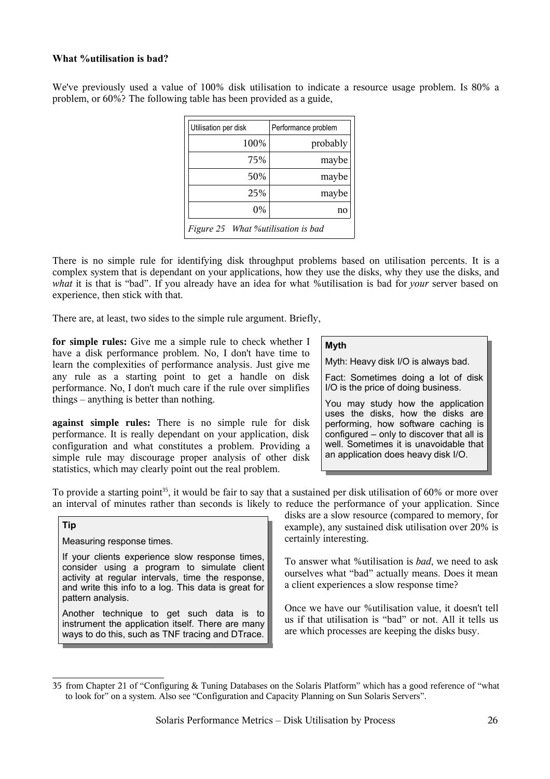#### **What %utilisation is bad?**

We've previously used a value of 100% disk utilisation to indicate a resource usage problem. Is 80% a problem, or 60%? The following table has been provided as a guide,

| Utilisation per disk                | Performance problem |  |  |  |  |
|-------------------------------------|---------------------|--|--|--|--|
| 100%                                | probably            |  |  |  |  |
| 75%                                 | maybe               |  |  |  |  |
| 50%                                 | maybe               |  |  |  |  |
| 25%                                 | maybe               |  |  |  |  |
| $0\%$                               | no                  |  |  |  |  |
| Figure 25 What % utilisation is bad |                     |  |  |  |  |

There is no simple rule for identifying disk throughput problems based on utilisation percents. It is a complex system that is dependant on your applications, how they use the disks, why they use the disks, and *what* it is that is "bad". If you already have an idea for what %utilisation is bad for *your* server based on experience, then stick with that.

There are, at least, two sides to the simple rule argument. Briefly,

**for simple rules:** Give me a simple rule to check whether I have a disk performance problem. No, I don't have time to learn the complexities of performance analysis. Just give me any rule as a starting point to get a handle on disk performance. No, I don't much care if the rule over simplifies things – anything is better than nothing.

**against simple rules:** There is no simple rule for disk performance. It is really dependant on your application, disk configuration and what constitutes a problem. Providing a simple rule may discourage proper analysis of other disk statistics, which may clearly point out the real problem.

| Myth |  |
|------|--|
|      |  |

Myth: Heavy disk I/O is always bad. Fact: Sometimes doing a lot of disk I/O is the price of doing business. You may study how the application uses the disks, how the disks are performing, how software caching is configured – only to discover that all is well. Sometimes it is unavoidable that an application does heavy disk I/O.

To provide a starting point<sup>35</sup>, it would be fair to say that a sustained per disk utilisation of 60% or more over an interval of minutes rather than seconds is likely to reduce the performance of your application. Since

## **Tip**

Measuring response times.

If your clients experience slow response times, consider using a program to simulate client activity at regular intervals, time the response, and write this info to a log. This data is great for pattern analysis.

Another technique to get such data is to instrument the application itself. There are many ways to do this, such as TNF tracing and DTrace.

disks are a slow resource (compared to memory, for example), any sustained disk utilisation over 20% is certainly interesting.

To answer what %utilisation is *bad*, we need to ask ourselves what "bad" actually means. Does it mean a client experiences a slow response time?

Once we have our %utilisation value, it doesn't tell us if that utilisation is "bad" or not. All it tells us are which processes are keeping the disks busy.

<sup>35</sup> from Chapter 21 of "Configuring & Tuning Databases on the Solaris Platform" which has a good reference of "what to look for" on a system. Also see "Configuration and Capacity Planning on Sun Solaris Servers".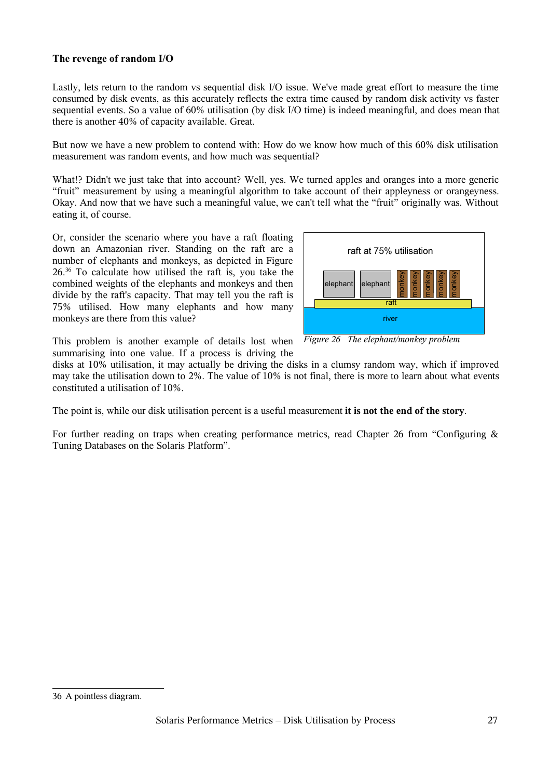#### **The revenge of random I/O**

Lastly, lets return to the random vs sequential disk I/O issue. We've made great effort to measure the time consumed by disk events, as this accurately reflects the extra time caused by random disk activity vs faster sequential events. So a value of 60% utilisation (by disk I/O time) is indeed meaningful, and does mean that there is another 40% of capacity available. Great.

But now we have a new problem to contend with: How do we know how much of this 60% disk utilisation measurement was random events, and how much was sequential?

What!? Didn't we just take that into account? Well, yes. We turned apples and oranges into a more generic "fruit" measurement by using a meaningful algorithm to take account of their appleyness or orangeyness. Okay. And now that we have such a meaningful value, we can't tell what the "fruit" originally was. Without eating it, of course.

Or, consider the scenario where you have a raft floating down an Amazonian river. Standing on the raft are a number of elephants and monkeys, as depicted in Figure 26. <sup>36</sup> To calculate how utilised the raft is, you take the combined weights of the elephants and monkeys and then divide by the raft's capacity. That may tell you the raft is 75% utilised. How many elephants and how many monkeys are there from this value?



This problem is another example of details lost when summarising into one value. If a process is driving the

disks at 10% utilisation, it may actually be driving the disks in a clumsy random way, which if improved may take the utilisation down to 2%. The value of 10% is not final, there is more to learn about what events constituted a utilisation of 10%.

The point is, while our disk utilisation percent is a useful measurement **it is not the end of the story**.

For further reading on traps when creating performance metrics, read Chapter 26 from "Configuring & Tuning Databases on the Solaris Platform".

<sup>36</sup> A pointless diagram.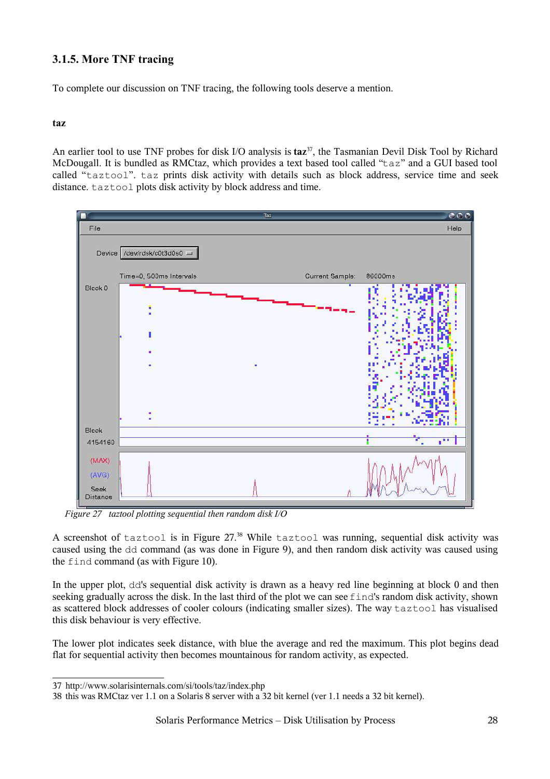## **3.1.5. More TNF tracing**

To complete our discussion on TNF tracing, the following tools deserve a mention.

### **taz**

An earlier tool to use TNF probes for disk I/O analysis is **taz** 37 , the Tasmanian Devil Disk Tool by Richard McDougall. It is bundled as RMCtaz, which provides a text based tool called "taz" and a GUI based tool called "taztool". taz prints disk activity with details such as block address, service time and seek distance. taztool plots disk activity by block address and time.



*Figure 27 taztool plotting sequential then random disk I/O*

A screenshot of taztool is in Figure 27.<sup>38</sup> While taztool was running, sequential disk activity was caused using the dd command (as was done in Figure 9), and then random disk activity was caused using the find command (as with Figure 10).

In the upper plot, dd's sequential disk activity is drawn as a heavy red line beginning at block 0 and then seeking gradually across the disk. In the last third of the plot we can seefind's random disk activity, shown as scattered block addresses of cooler colours (indicating smaller sizes). The way taztool has visualised this disk behaviour is very effective.

The lower plot indicates seek distance, with blue the average and red the maximum. This plot begins dead flat for sequential activity then becomes mountainous for random activity, as expected.

<sup>37</sup> http://www.solarisinternals.com/si/tools/taz/index.php

<sup>38</sup> this was RMCtaz ver 1.1 on a Solaris 8 server with a 32 bit kernel (ver 1.1 needs a 32 bit kernel).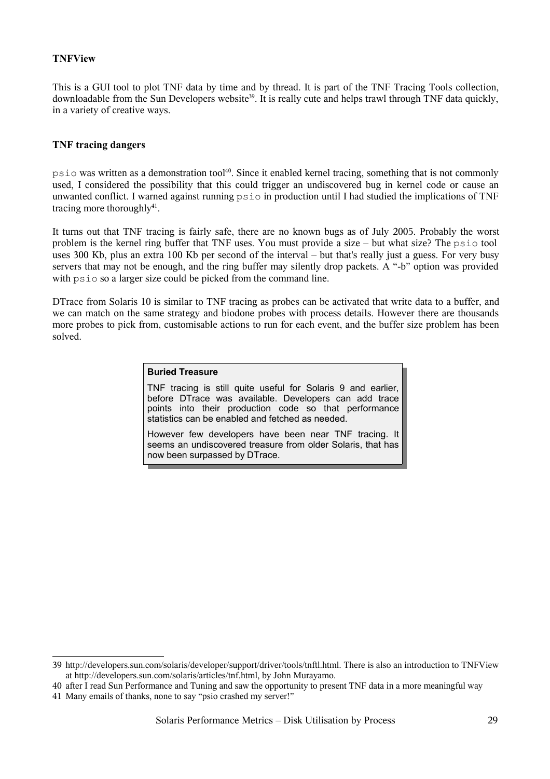#### **TNFView**

This is a GUI tool to plot TNF data by time and by thread. It is part of the TNF Tracing Tools collection, downloadable from the Sun Developers website<sup>39</sup>. It is really cute and helps trawl through TNF data quickly, in a variety of creative ways.

#### **TNF tracing dangers**

psio was written as a demonstration tool<sup>40</sup>. Since it enabled kernel tracing, something that is not commonly used, I considered the possibility that this could trigger an undiscovered bug in kernel code or cause an unwanted conflict. I warned against running psio in production until I had studied the implications of TNF tracing more thoroughly<sup>41</sup>.

It turns out that TNF tracing is fairly safe, there are no known bugs as of July 2005. Probably the worst problem is the kernel ring buffer that TNF uses. You must provide a size – but what size? The psio tool uses 300 Kb, plus an extra 100 Kb per second of the interval – but that's really just a guess. For very busy servers that may not be enough, and the ring buffer may silently drop packets. A "-b" option was provided with  $p s i o so a larger size could be picked from the command line.$ 

DTrace from Solaris 10 is similar to TNF tracing as probes can be activated that write data to a buffer, and we can match on the same strategy and biodone probes with process details. However there are thousands more probes to pick from, customisable actions to run for each event, and the buffer size problem has been solved.

#### **Buried Treasure**

TNF tracing is still quite useful for Solaris 9 and earlier, before DTrace was available. Developers can add trace points into their production code so that performance statistics can be enabled and fetched as needed.

However few developers have been near TNF tracing. It seems an undiscovered treasure from older Solaris, that has now been surpassed by DTrace.

<sup>39</sup> http://developers.sun.com/solaris/developer/support/driver/tools/tnftl.html. There is also an introduction to TNFView at http://developers.sun.com/solaris/articles/tnf.html, by John Murayamo.

<sup>40</sup> after I read Sun Performance and Tuning and saw the opportunity to present TNF data in a more meaningful way

<sup>41</sup> Many emails of thanks, none to say "psio crashed my server!"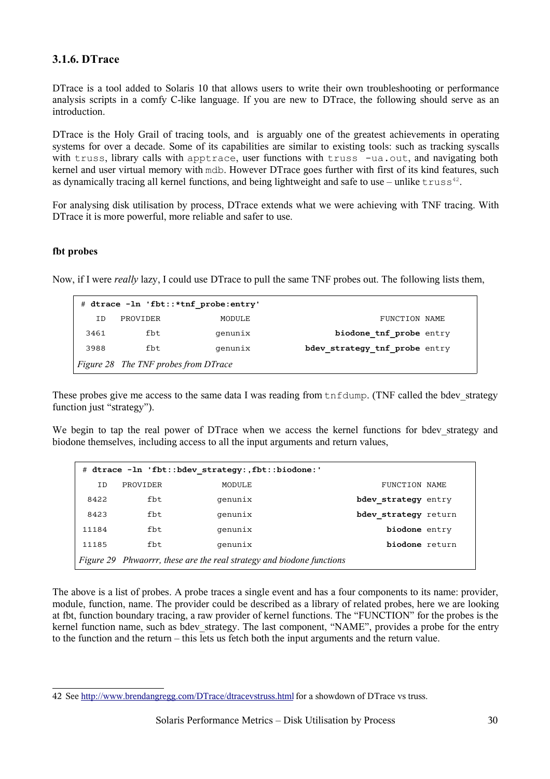## **3.1.6. DTrace**

DTrace is a tool added to Solaris 10 that allows users to write their own troubleshooting or performance analysis scripts in a comfy C-like language. If you are new to DTrace, the following should serve as an introduction.

DTrace is the Holy Grail of tracing tools, and is arguably one of the greatest achievements in operating systems for over a decade. Some of its capabilities are similar to existing tools: such as tracking syscalls with truss, library calls with apptrace, user functions with truss -ua.out, and navigating both kernel and user virtual memory with mdb. However DTrace goes further with first of its kind features, such as dynamically tracing all kernel functions, and being lightweight and safe to use – unlike  $\tt{truss^{42}}$ .

For analysing disk utilisation by process, DTrace extends what we were achieving with TNF tracing. With DTrace it is more powerful, more reliable and safer to use.

## **fbt probes**

Now, if I were *really* lazy, I could use DTrace to pull the same TNF probes out. The following lists them,

| # dtrace -ln 'fbt:: *tnf probe: entry' |                                      |         |                               |
|----------------------------------------|--------------------------------------|---------|-------------------------------|
| ΙD                                     | PROVIDER                             | MODULE  | FUNCTION NAME                 |
| 3461                                   | fbt.                                 | genunix | biodone tnf probe entry       |
| 3988                                   | fbt.                                 | genunix | bdev strategy tnf probe entry |
|                                        | Figure 28 The TNF probes from DTrace |         |                               |

These probes give me access to the same data I was reading from  $\text{tnfdump.}$  (TNF called the bdev strategy function just "strategy").

We begin to tap the real power of DTrace when we access the kernel functions for bdev strategy and biodone themselves, including access to all the input arguments and return values,

|       |          | # dtrace -ln 'fbt::bdev strategy:,fbt::biodone:'                      |                      |
|-------|----------|-----------------------------------------------------------------------|----------------------|
| ΙD    | PROVIDER | MODULE                                                                | FUNCTION NAME        |
| 8422  | fbt      | genunix                                                               | bdev strategy entry  |
| 8423  | fbt      | genunix                                                               | bdev strategy return |
| 11184 | fbt      | genunix                                                               | <b>biodone</b> entry |
| 11185 | fbt      | genunix                                                               | biodone return       |
|       |          | Figure 29 Phwaorrr, these are the real strategy and biodone functions |                      |

The above is a list of probes. A probe traces a single event and has a four components to its name: provider, module, function, name. The provider could be described as a library of related probes, here we are looking at fbt, function boundary tracing, a raw provider of kernel functions. The "FUNCTION" for the probes is the kernel function name, such as bdev strategy. The last component, "NAME", provides a probe for the entry to the function and the return – this lets us fetch both the input arguments and the return value.

<sup>42</sup> See http://www.brendangregg.com/DTrace/dtracevstruss.htmlfor a showdown of DTrace vs truss.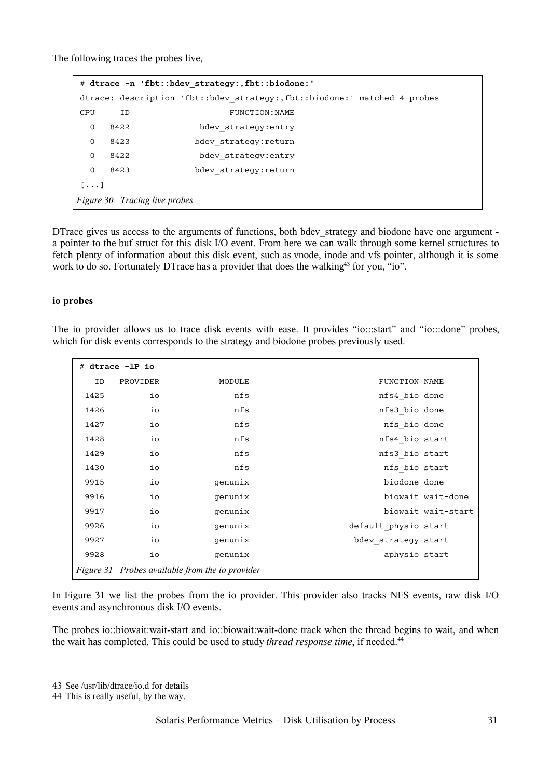The following traces the probes live,

```
# dtrace -n 'fbt::bdev_strategy:,fbt::biodone:'
dtrace: description 'fbt::bdev_strategy:,fbt::biodone:' matched 4 probes
CPU ID FUNCTION: NAME
  0 8422 bdev strategy: entry
  0 8423 bdev strategy:return
  0 8422 bdev strategy: entry
  0 8423 bdev strategy:return
[...]
Figure 30 Tracing live probes
```
DTrace gives us access to the arguments of functions, both bdev strategy and biodone have one argument a pointer to the buf struct for this disk I/O event. From here we can walk through some kernel structures to fetch plenty of information about this disk event, such as vnode, inode and vfs pointer, although it is some work to do so. Fortunately DTrace has a provider that does the walking<sup>43</sup> for you, "io".

#### **io probes**

The io provider allows us to trace disk events with ease. It provides "io:::start" and "io:::done" probes, which for disk events corresponds to the strategy and biodone probes previously used.

|      | # dtrace -1P io |                                                 |                      |                    |
|------|-----------------|-------------------------------------------------|----------------------|--------------------|
| ID   | PROVIDER        | MODULE                                          | FUNCTION NAME        |                    |
| 1425 | iо              | nfs                                             | nfs4 bio done        |                    |
| 1426 | io              | nfs                                             | nfs3 bio done        |                    |
| 1427 | io              | nfs                                             | nfs bio done         |                    |
| 1428 | io              | nfs                                             | nfs4 bio start       |                    |
| 1429 | io              | nfs                                             | nfs3 bio start       |                    |
| 1430 | io              | nfs                                             | nfs bio start        |                    |
| 9915 | io              | genunix                                         | biodone done         |                    |
| 9916 | io              | genunix                                         |                      | biowait wait-done  |
| 9917 | io              | genunix                                         |                      | biowait wait-start |
| 9926 | io              | genunix                                         | default physio start |                    |
| 9927 | io              | genunix                                         | bdev strategy start  |                    |
| 9928 | iо              | genunix                                         | aphysio start        |                    |
|      |                 | Figure 31 Probes available from the io provider |                      |                    |

In Figure 31 we list the probes from the io provider. This provider also tracks NFS events, raw disk I/O events and asynchronous disk I/O events.

The probes io::biowait:wait-start and io::biowait:wait-done track when the thread begins to wait, and when the wait has completed. This could be used to study *thread response time*, if needed.<sup>44</sup>

<sup>43</sup> See /usr/lib/dtrace/io.d for details

<sup>44</sup> This is really useful, by the way.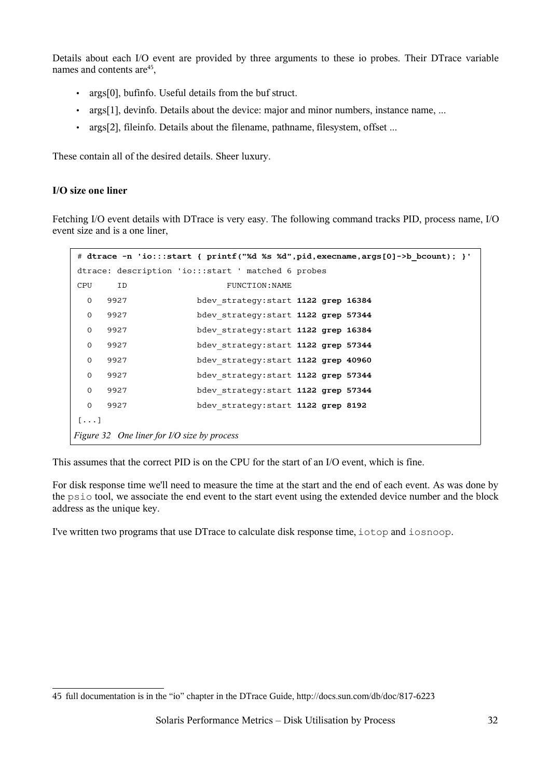Details about each I/O event are provided by three arguments to these io probes. Their DTrace variable names and contents are<sup>45</sup>,

- args[0], bufinfo. Useful details from the buf struct.
- args[1], devinfo. Details about the device: major and minor numbers, instance name, ...
- args[2], fileinfo. Details about the filename, pathname, filesystem, offset ...

These contain all of the desired details. Sheer luxury.

#### **I/O size one liner**

Fetching I/O event details with DTrace is very easy. The following command tracks PID, process name, I/O event size and is a one liner,

|                      | # dtrace -n 'io:::start { printf("%d %s %d", pid, execname, args[0]->b bcount); }' |
|----------------------|------------------------------------------------------------------------------------|
|                      | dtrace: description 'io:::start ' matched 6 probes                                 |
| <b>CPU</b><br>ID     | FUNCTION: NAME                                                                     |
| $\mathbf{0}$<br>9927 | bdev strategy: start 1122 grep 16384                                               |
| $\mathbf{0}$<br>9927 | bdev strategy: start 1122 grep 57344                                               |
| 9927<br>$\mathbf{0}$ | bdev strategy: start 1122 grep 16384                                               |
| $\Omega$<br>9927     | bdev strategy: start 1122 grep 57344                                               |
| $\mathbf{0}$<br>9927 | bdev strategy: start 1122 grep 40960                                               |
| 9927<br>$\mathbf{0}$ | bdev strategy: start 1122 grep 57344                                               |
| $\mathbf{0}$<br>9927 | bdev strategy: start 1122 grep 57344                                               |
| $\Omega$<br>9927     | bdev strategy: start 1122 grep 8192                                                |
| $[\ldots]$           |                                                                                    |
|                      | Figure 32 One liner for I/O size by process                                        |

This assumes that the correct PID is on the CPU for the start of an I/O event, which is fine.

For disk response time we'll need to measure the time at the start and the end of each event. As was done by the psio tool, we associate the end event to the start event using the extended device number and the block address as the unique key.

I've written two programs that use DTrace to calculate disk response time, iotop and iosnoop.

<sup>45</sup> full documentation is in the "io" chapter in the DTrace Guide, http://docs.sun.com/db/doc/817-6223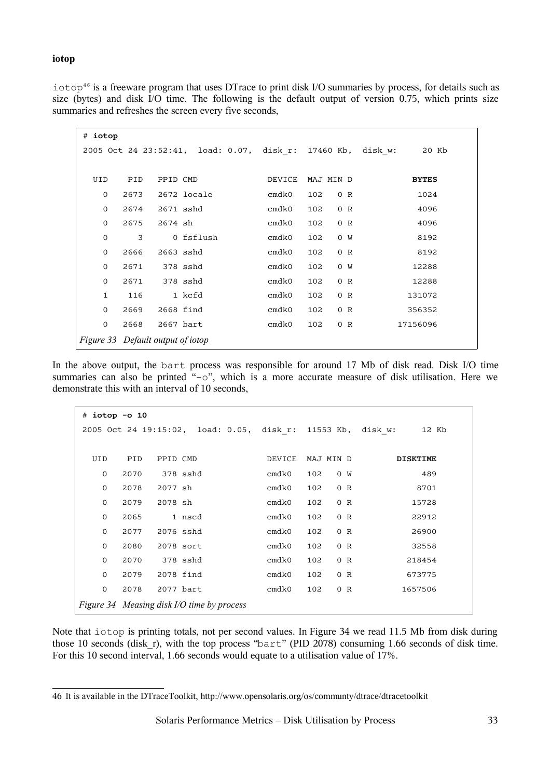#### **iotop**

iotop<sup>46</sup> is a freeware program that uses DTrace to print disk I/O summaries by process, for details such as size (bytes) and disk I/O time. The following is the default output of version 0.75, which prints size summaries and refreshes the screen every five seconds,

| # iotop                           |                |           |                                                             |        |            |              |
|-----------------------------------|----------------|-----------|-------------------------------------------------------------|--------|------------|--------------|
|                                   |                |           | 2005 Oct 24 23:52:41, load: 0.07, disk r: 17460 Kb, disk w: |        |            | 20 Kb        |
|                                   |                |           |                                                             |        |            |              |
| UID                               | PID            | PPID CMD  |                                                             | DEVICE | MAJ MIN D  | <b>BYTES</b> |
| 0                                 | 2673           |           | 2672 locale                                                 | cmdk0  | 102<br>0 R | 1024         |
| $\mathbf 0$                       | 2674           | 2671 sshd |                                                             | cmdk0  | 102<br>0 R | 4096         |
| $\mathbf 0$                       | 2675           | 2674 sh   |                                                             | cmdk0  | 0 R<br>102 | 4096         |
| $\mathbf 0$                       | $\overline{3}$ |           | 0 fsflush                                                   | cmdk0  | 102<br>0 W | 8192         |
| $\mathbf{0}$                      | 2666           |           | 2663 sshd                                                   | cmdk0  | 102<br>0 R | 8192         |
| $\mathbf{0}$                      | 2671           |           | 378 sshd                                                    | cmdk0  | 102<br>0 W | 12288        |
| $\mathbf{0}$                      | 2671           | 378 sshd  |                                                             | cmdk0  | 102<br>0 R | 12288        |
| $\mathbf{1}$                      | 116            |           | 1 kcfd                                                      | cmdk0  | 102<br>0 R | 131072       |
| $\mathbf{0}$                      | 2669           |           | 2668 find                                                   | cmdk0  | 102<br>0 R | 356352       |
| $\mathbf{0}$                      | 2668           |           | 2667 bart                                                   | cmdk0  | 102<br>0 R | 17156096     |
| Figure 33 Default output of iotop |                |           |                                                             |        |            |              |

In the above output, the bart process was responsible for around 17 Mb of disk read. Disk I/O time summaries can also be printed "-o", which is a more accurate measure of disk utilisation. Here we demonstrate this with an interval of 10 seconds,

|              | # iotop $-$ o 10 |           |                                                             |        |           |     |                 |  |  |  |  |
|--------------|------------------|-----------|-------------------------------------------------------------|--------|-----------|-----|-----------------|--|--|--|--|
|              |                  |           | 2005 Oct 24 19:15:02, load: 0.05, disk r: 11553 Kb, disk w: |        |           |     | 12 Kb           |  |  |  |  |
|              |                  |           |                                                             |        |           |     |                 |  |  |  |  |
| UID          | PID              | PPID CMD  |                                                             | DEVICE | MAJ MIN D |     | <b>DISKTIME</b> |  |  |  |  |
| $\mathbf{0}$ | 2070             |           | 378 sshd                                                    | cmdk0  | 102       | 0 W | 489             |  |  |  |  |
| $\mathbf{0}$ | 2078             | 2077 sh   |                                                             | cmdk0  | 102       | 0 R | 8701            |  |  |  |  |
| $\mathbf 0$  | 2079             | 2078 sh   |                                                             | cmdk0  | 102       | 0 R | 15728           |  |  |  |  |
| $\mathbf{0}$ | 2065             |           | 1 nscd                                                      | cmdk0  | 102       | 0 R | 22912           |  |  |  |  |
| $\Omega$     | 2077 2076 sshd   |           |                                                             | cmdk0  | 102       | 0 R | 26900           |  |  |  |  |
| $\mathbf{0}$ | 2080             | 2078 sort |                                                             | cmdk0  | 102       | 0 R | 32558           |  |  |  |  |
| $\Omega$     | 2070             | 378 sshd  |                                                             | cmdk0  | 102       | 0 R | 218454          |  |  |  |  |
| $\mathbf{0}$ | 2079             | 2078 find |                                                             | cmdk0  | 102       | 0 R | 673775          |  |  |  |  |
| $\mathbf{0}$ | 2078             | 2077 bart |                                                             | cmdk0  | 102       | 0 R | 1657506         |  |  |  |  |
|              |                  |           | Figure 34 Measing disk I/O time by process                  |        |           |     |                 |  |  |  |  |

Note that iotop is printing totals, not per second values. In Figure 34 we read 11.5 Mb from disk during those 10 seconds (disk r), with the top process "bart" (PID 2078) consuming 1.66 seconds of disk time. For this 10 second interval, 1.66 seconds would equate to a utilisation value of 17%.

<sup>46</sup> It is available in the DTraceToolkit, http://www.opensolaris.org/os/communty/dtrace/dtracetoolkit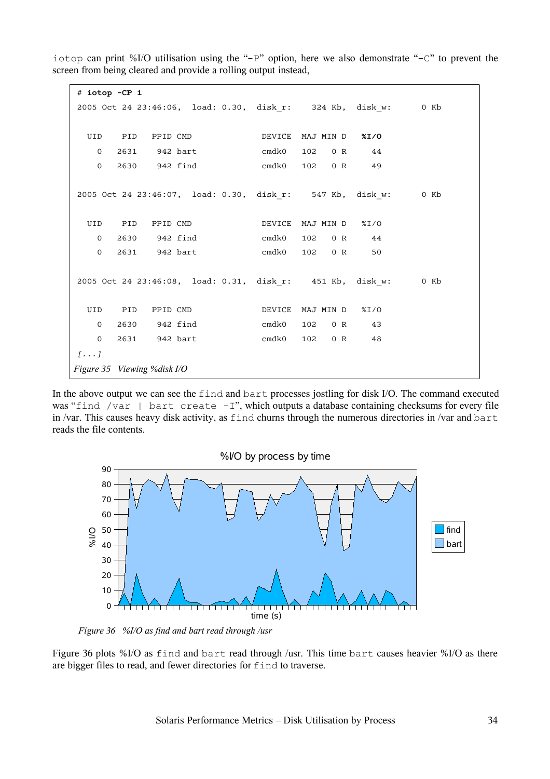iotop can print %I/O utilisation using the "-P" option, here we also demonstrate "-C" to prevent the screen from being cleared and provide a rolling output instead,

```
# iotop -CP 1
2005 Oct 24 23:46:06, load: 0.30, disk_r: 324 Kb, disk_w: 0 Kb
  UID PID PPID CMD DEVICE MAJ MIN D %I/O
    0 2631 942 bart cmdk0 102 0 R 44
   0 2630 942 find cmdk0 102 0 R 49
2005 Oct 24 23:46:07, load: 0.30, disk_r: 547 Kb, disk_w: 0 Kb
  UID PID PPID CMD DEVICE MAJ MIN D %I/O
    0 2630 942 find cmdk0 102 0 R 44
    0 2631 942 bart cmdk0 102 0 R 50
2005 Oct 24 23:46:08, load: 0.31, disk_r: 451 Kb, disk_w: 0 Kb
  UID PID PPID CMD DEVICE MAJ MIN D %I/O
    0 2630 942 find cmdk0 102 0 R 43
    0 2631 942 bart cmdk0 102 0 R 48
[...]
Figure 35 Viewing %disk I/O
```
In the above output we can see the find and bart processes jostling for disk I/O. The command executed was "find /var | bart create -I", which outputs a database containing checksums for every file in /var. This causes heavy disk activity, as find churns through the numerous directories in /var and bart reads the file contents.



*Figure 36 %I/O as find and bart read through /usr*

Figure 36 plots %I/O as find and bart read through /usr. This time bart causes heavier %I/O as there are bigger files to read, and fewer directories for find to traverse.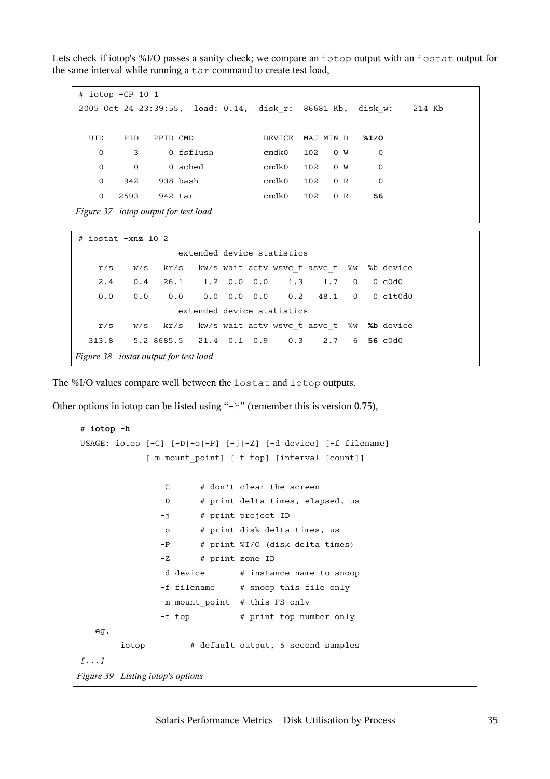Lets check if iotop's %I/O passes a sanity check; we compare an iotop output with an iostat output for the same interval while running a tar command to create test load,

```
# iotop -CP 10 1
2005 Oct 24 23:39:55, load: 0.14, disk_r: 86681 Kb, disk_w: 214 Kb
  UID PID PPID CMD DEVICE MAJ MIN D %I/O
   0 3 0 fsflush cmdk0 102 0 W 0
   0 0 0 sched cmdk0 102 0 W 0
   0 942 938 bash cmdk0 102 0 R 0
    0 2593 942 tar cmdk0 102 0 R 56
Figure 37 iotop output for test load
# iostat -xnz 10 2
```

|                                       |                            |                                                           |  |  |  | extended device statistics |  |  |  |  |  |  |
|---------------------------------------|----------------------------|-----------------------------------------------------------|--|--|--|----------------------------|--|--|--|--|--|--|
| r/s                                   |                            | w/s kr/s kw/s wait actv wsvc t asvc t %w %b device        |  |  |  |                            |  |  |  |  |  |  |
| 2.4                                   |                            | $0.4$ 26.1 1.2 0.0 0.0 1.3 1.7 0 0 c0d0                   |  |  |  |                            |  |  |  |  |  |  |
| 0.0                                   | 0.0                        | $0.0$ $0.0$ $0.0$ $0.0$ $0.2$ $48.1$ $0$ $0$ $c1$ t $0d0$ |  |  |  |                            |  |  |  |  |  |  |
|                                       | extended device statistics |                                                           |  |  |  |                            |  |  |  |  |  |  |
| r/s                                   |                            | w/s kr/s kw/s wait actv wsvc t asvc t %w %b device        |  |  |  |                            |  |  |  |  |  |  |
|                                       |                            | 313.8 5.2 8685.5 21.4 0.1 0.9 0.3 2.7 6 56 c0d0           |  |  |  |                            |  |  |  |  |  |  |
| Figure 38 iostat output for test load |                            |                                                           |  |  |  |                            |  |  |  |  |  |  |

The %I/O values compare well between the iostat and iotop outputs.

Other options in iotop can be listed using "-h" (remember this is version 0.75),

```
# iotop -h
USAGE: iotop [-C] [-D|-o|-P] [-j|-Z] [-d device] [-f filename]
             [-m mount_point] [-t top] [interval [count]]
               -C # don't clear the screen
                -D # print delta times, elapsed, us
                -j # print project ID
                -o # print disk delta times, us
                -P # print %I/O (disk delta times)
                -Z # print zone ID
               -d device # instance name to snoop
                -f filename # snoop this file only
                -m mount_point # this FS only
               -t top \qquad # print top number only
    eg,
        iotop # default output, 5 second samples
[...]
Figure 39 Listing iotop's options
```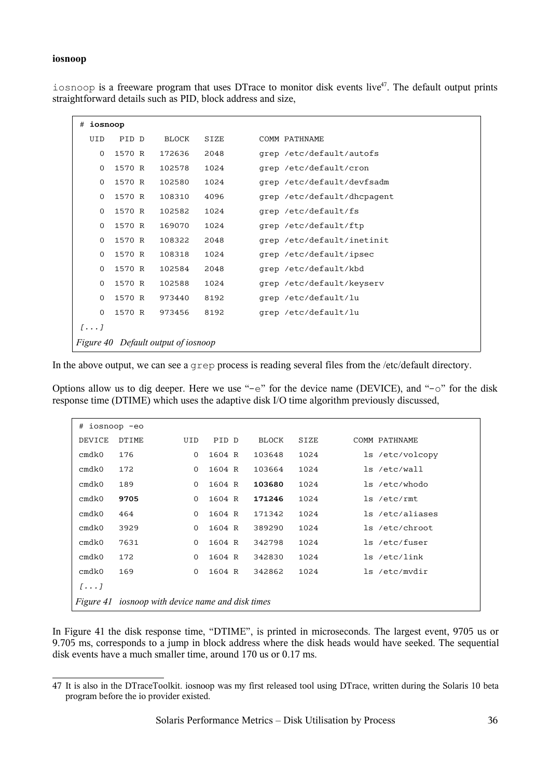#### **iosnoop**

iosnoop is a freeware program that uses DTrace to monitor disk events live<sup>47</sup>. The default output prints straightforward details such as PID, block address and size,

| # | iosnoop                             |        |  |        |      |  |                             |  |  |  |
|---|-------------------------------------|--------|--|--------|------|--|-----------------------------|--|--|--|
|   | UID                                 | PID D  |  | BLOCK  | SIZE |  | COMM PATHNAME               |  |  |  |
|   | $\mathbf{0}$                        | 1570 R |  | 172636 | 2048 |  | grep /etc/default/autofs    |  |  |  |
|   | $\Omega$                            | 1570 R |  | 102578 | 1024 |  | grep /etc/default/cron      |  |  |  |
|   | $\Omega$                            | 1570 R |  | 102580 | 1024 |  | grep /etc/default/devfsadm  |  |  |  |
|   | $\Omega$                            | 1570 R |  | 108310 | 4096 |  | grep /etc/default/dhcpagent |  |  |  |
|   | $\Omega$                            | 1570 R |  | 102582 | 1024 |  | grep /etc/default/fs        |  |  |  |
|   | $\Omega$                            | 1570 R |  | 169070 | 1024 |  | grep /etc/default/ftp       |  |  |  |
|   | $\Omega$                            | 1570 R |  | 108322 | 2048 |  | grep /etc/default/inetinit  |  |  |  |
|   | $\Omega$                            | 1570 R |  | 108318 | 1024 |  | grep /etc/default/ipsec     |  |  |  |
|   | $\Omega$                            | 1570 R |  | 102584 | 2048 |  | grep /etc/default/kbd       |  |  |  |
|   | $\mathbf{0}$                        | 1570 R |  | 102588 | 1024 |  | grep /etc/default/keyserv   |  |  |  |
|   | $\Omega$                            | 1570 R |  | 973440 | 8192 |  | grep /etc/default/lu        |  |  |  |
|   | $\Omega$                            | 1570 R |  | 973456 | 8192 |  | grep /etc/default/lu        |  |  |  |
|   | $[\ldots]$                          |        |  |        |      |  |                             |  |  |  |
|   | Figure 40 Default output of iosnoop |        |  |        |      |  |                             |  |  |  |

In the above output, we can see a grep process is reading several files from the /etc/default directory.

Options allow us to dig deeper. Here we use "-e" for the device name (DEVICE), and "-o" for the disk response time (DTIME) which uses the adaptive disk I/O time algorithm previously discussed,

| # iosnoop -eo |                                                |              |        |        |      |                 |
|---------------|------------------------------------------------|--------------|--------|--------|------|-----------------|
| DEVICE        | DTIME                                          | UID          | PID D  | BLOCK  | SIZE | COMM PATHNAME   |
| cmdk0         | 176                                            | $\mathbf{0}$ | 1604 R | 103648 | 1024 | ls /etc/volcopy |
| cmdk0         | 172                                            | $\mathbf{0}$ | 1604 R | 103664 | 1024 | ls /etc/wall    |
| cmdk0         | 189                                            | $\mathbf{0}$ | 1604 R | 103680 | 1024 | ls /etc/whodo   |
| cmdk0         | 9705                                           | $\mathbf{0}$ | 1604 R | 171246 | 1024 | ls /etc/rmt     |
| cmdk0         | 464                                            | $\mathbf{0}$ | 1604 R | 171342 | 1024 | ls /etc/aliases |
| cmdk0         | 3929                                           | $\mathbf 0$  | 1604 R | 389290 | 1024 | ls /etc/chroot  |
| cmdk0         | 7631                                           | $\mathbf{0}$ | 1604 R | 342798 | 1024 | ls /etc/fuser   |
| cmdk0         | 172                                            | $\mathbf{0}$ | 1604 R | 342830 | 1024 | ls /etc/link    |
| cmdk0         | 169                                            | $\mathbf{0}$ | 1604 R | 342862 | 1024 | ls /etc/mvdir   |
| $[\ldots]$    |                                                |              |        |        |      |                 |
| Figure 41     | <i>iosnoop with device name and disk times</i> |              |        |        |      |                 |
|               |                                                |              |        |        |      |                 |

In Figure 41 the disk response time, "DTIME", is printed in microseconds. The largest event, 9705 us or 9.705 ms, corresponds to a jump in block address where the disk heads would have seeked. The sequential disk events have a much smaller time, around 170 us or 0.17 ms.

<sup>47</sup> It is also in the DTraceToolkit. iosnoop was my first released tool using DTrace, written during the Solaris 10 beta program before the io provider existed.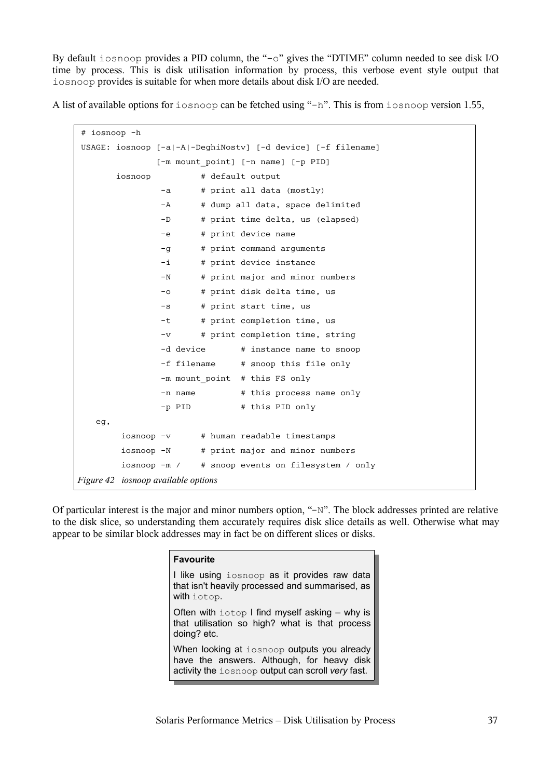By default iosnoop provides a PID column, the "-o" gives the "DTIME" column needed to see disk I/O time by process. This is disk utilisation information by process, this verbose event style output that iosnoop provides is suitable for when more details about disk I/O are needed.

A list of available options for iosnoop can be fetched using "-h". This is from iosnoop version 1.55,

| # iosnoop -h |                                            |          |           |          |                                                                                          |
|--------------|--------------------------------------------|----------|-----------|----------|------------------------------------------------------------------------------------------|
|              |                                            |          |           |          | USAGE: iosnoop $[-a]-A]-\text{DepthNostv}$ $[-d \text{ device}]$ $[-f \text{ filename}]$ |
|              |                                            |          |           |          | [-m mount point] [-n name] [-p PID]                                                      |
|              | iosnoop                                    |          |           |          | # default output                                                                         |
|              |                                            | $-a$     |           |          | # print all data (mostly)                                                                |
|              |                                            | $-A$     |           |          | # dump all data, space delimited                                                         |
|              |                                            | $-D$     |           |          | # print time delta, us (elapsed)                                                         |
|              |                                            | $-e$     |           |          | # print device name                                                                      |
|              |                                            | $-q$     |           |          | # print command arguments                                                                |
|              |                                            | $-i$     |           |          | # print device instance                                                                  |
|              |                                            | $-N$     |           |          | # print major and minor numbers                                                          |
|              |                                            | $-\circ$ |           |          | # print disk delta time, us                                                              |
|              |                                            | $-S$     |           |          | # print start time, us                                                                   |
|              |                                            | -t       |           |          | # print completion time, us                                                              |
|              |                                            | $-v$     |           |          | # print completion time, string                                                          |
|              |                                            |          | -d device |          | # instance name to snoop                                                                 |
|              |                                            |          |           |          | -f filename # snoop this file only                                                       |
|              |                                            |          |           |          | $-m$ mount point # this FS only                                                          |
|              |                                            |          | -n name   |          | # this process name only                                                                 |
|              |                                            |          |           | $-p$ PID | # this PID only                                                                          |
| eg,          |                                            |          |           |          |                                                                                          |
|              |                                            |          |           |          | iosnoop -v # human readable timestamps                                                   |
|              |                                            |          |           |          | iosnoop -N # print major and minor numbers                                               |
|              |                                            |          |           |          | iosnoop -m / # snoop events on filesystem / only                                         |
|              | Figure 42 <i>iosnoop available options</i> |          |           |          |                                                                                          |

Of particular interest is the major and minor numbers option, "-N". The block addresses printed are relative to the disk slice, so understanding them accurately requires disk slice details as well. Otherwise what may appear to be similar block addresses may in fact be on different slices or disks.

#### **Favourite**

I like using iosnoop as it provides raw data that isn't heavily processed and summarised, as with iotop.

Often with  $\text{iot}$   $\text{iot}$  I find myself asking  $-$  why is that utilisation so high? what is that process doing? etc.

When looking at iosnoop outputs you already have the answers. Although, for heavy disk activity the iosnoop output can scroll *very* fast.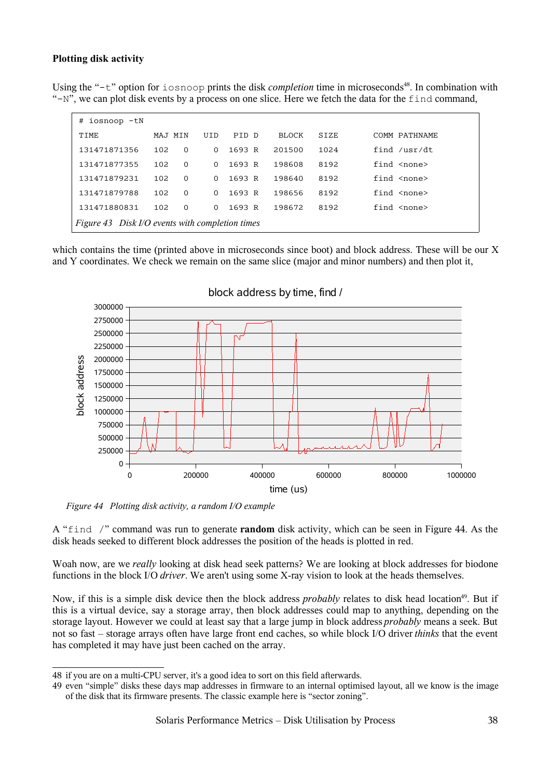#### **Plotting disk activity**

Using the "-t" option for iosnoop prints the disk *completion* time in microseconds<sup>48</sup>. In combination with " $-N$ ", we can plot disk events by a process on one slice. Here we fetch the data for the find command,

| iosnoop -tN<br>#                                |         |          |            |        |        |             |                    |  |  |  |
|-------------------------------------------------|---------|----------|------------|--------|--------|-------------|--------------------|--|--|--|
| TIME                                            | MAJ MIN |          | <b>UID</b> | PID D  | BLOCK  | <b>SIZE</b> | COMM PATHNAME      |  |  |  |
| 131471871356                                    | 102     | $\Omega$ | $\Omega$   | 1693 R | 201500 | 1024        | find /usr/dt       |  |  |  |
| 131471877355                                    | 102     | $\Omega$ | $\Omega$   | 1693 R | 198608 | 8192        | find <none></none> |  |  |  |
| 131471879231                                    | 102     | $\Omega$ | $\Omega$   | 1693 R | 198640 | 8192        | find <none></none> |  |  |  |
| 131471879788                                    | 102     | $\Omega$ | $\Omega$   | 1693 R | 198656 | 8192        | find <none></none> |  |  |  |
| 131471880831                                    | 102     | $\Omega$ | $\Omega$   | 1693 R | 198672 | 8192        | find <none></none> |  |  |  |
| Figure 43 Disk I/O events with completion times |         |          |            |        |        |             |                    |  |  |  |

which contains the time (printed above in microseconds since boot) and block address. These will be our X and Y coordinates. We check we remain on the same slice (major and minor numbers) and then plot it,



block address by time, find /

*Figure 44 Plotting disk activity, a random I/O example*

A "find /" command was run to generate **random** disk activity, which can be seen in Figure 44. As the disk heads seeked to different block addresses the position of the heads is plotted in red.

Woah now, are we *really* looking at disk head seek patterns? We are looking at block addresses for biodone functions in the block I/O *driver*. We aren't using some X-ray vision to look at the heads themselves.

Now, if this is a simple disk device then the block address *probably* relates to disk head location<sup>49</sup>. But if this is a virtual device, say a storage array, then block addresses could map to anything, depending on the storage layout. However we could at least say that a large jump in block address *probably* means a seek. But not so fast – storage arrays often have large front end caches, so while block I/O driver *thinks* that the event has completed it may have just been cached on the array.

<sup>48</sup> if you are on a multi-CPU server, it's a good idea to sort on this field afterwards.

<sup>49</sup> even "simple" disks these days map addresses in firmware to an internal optimised layout, all we know is the image of the disk that its firmware presents. The classic example here is "sector zoning".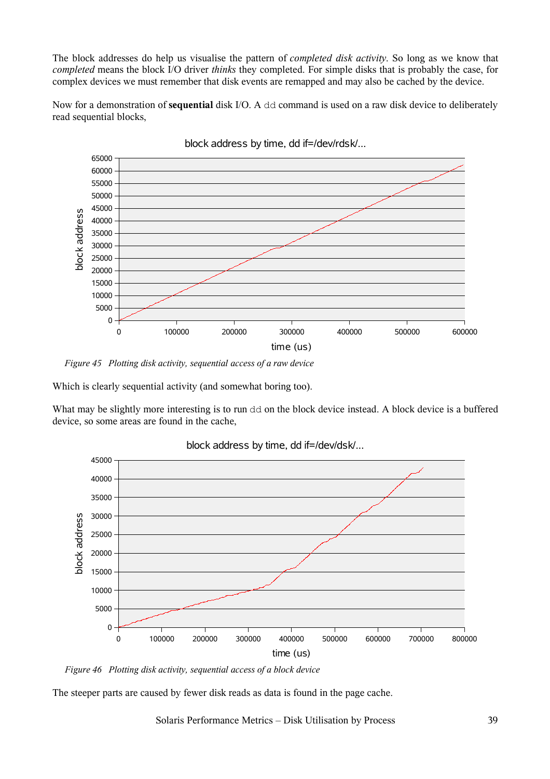The block addresses do help us visualise the pattern of *completed disk activity*. So long as we know that *completed* means the block I/O driver *thinks* they completed. For simple disks that is probably the case, for complex devices we must remember that disk events are remapped and may also be cached by the device.

Now for a demonstration of **sequential** disk I/O. A dd command is used on a raw disk device to deliberately read sequential blocks,



*Figure 45 Plotting disk activity, sequential access of a raw device*

Which is clearly sequential activity (and somewhat boring too).

What may be slightly more interesting is to run dd on the block device instead. A block device is a buffered device, so some areas are found in the cache,



block address by time, dd if=/dev/dsk/...

*Figure 46 Plotting disk activity, sequential access of a block device*

The steeper parts are caused by fewer disk reads as data is found in the page cache.

Solaris Performance Metrics – Disk Utilisation by Process 39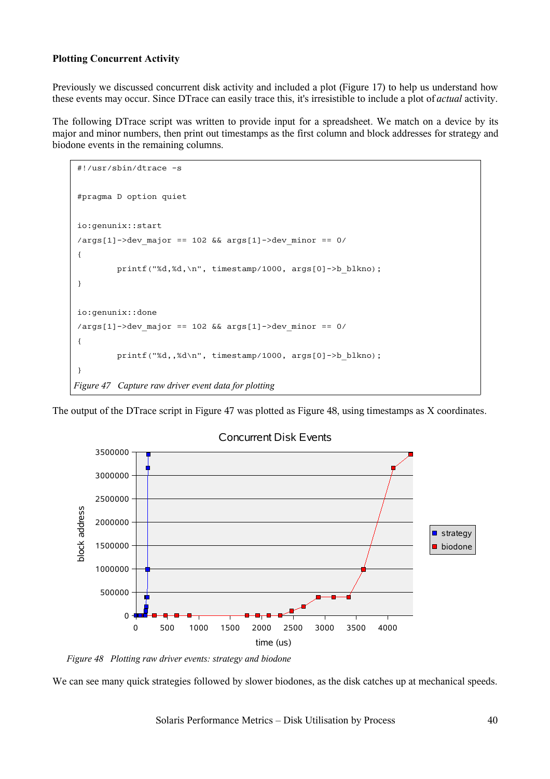#### **Plotting Concurrent Activity**

Previously we discussed concurrent disk activity and included a plot (Figure 17) to help us understand how these events may occur. Since DTrace can easily trace this, it's irresistible to include a plot of *actual* activity.

The following DTrace script was written to provide input for a spreadsheet. We match on a device by its major and minor numbers, then print out timestamps as the first column and block addresses for strategy and biodone events in the remaining columns.

```
#!/usr/sbin/dtrace -s
#pragma D option quiet
io:genunix::start
\gammaargs[1]->dev major == 102 && args[1]->dev minor == 0/
{
         printf("%d,%d,\n", timestamp/1000, args[0]->b blkno);
}
io:genunix::done
/args[1]->dev major == 102 && args[1]->dev minor == 0/
{
         printf("%d,,%d\n", timestamp/1000, args[0]->b_blkno);
}
Figure 47 Capture raw driver event data for plotting
```
The output of the DTrace script in Figure 47 was plotted as Figure 48, using timestamps as X coordinates.



## Concurrent Disk Events

We can see many quick strategies followed by slower biodones, as the disk catches up at mechanical speeds.

Solaris Performance Metrics – Disk Utilisation by Process 40

*Figure 48 Plotting raw driver events: strategy and biodone*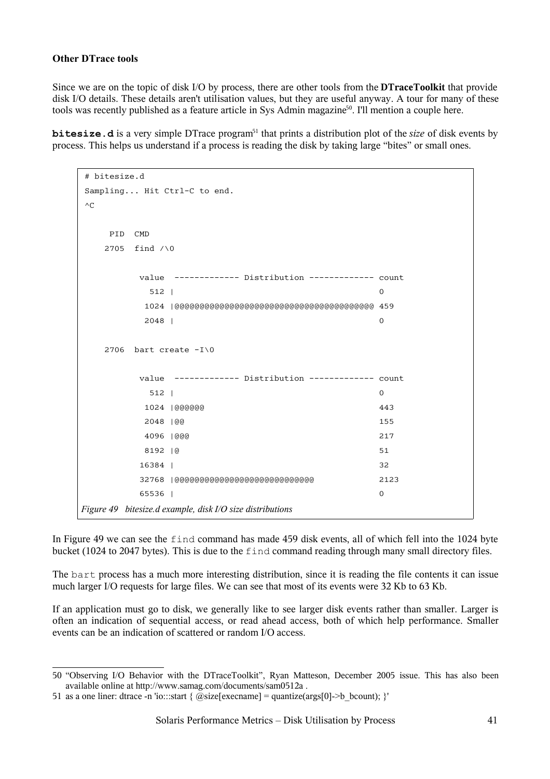#### **Other DTrace tools**

Since we are on the topic of disk I/O by process, there are other tools from the **DTraceToolkit** that provide disk I/O details. These details aren't utilisation values, but they are useful anyway. A tour for many of these tools was recently published as a feature article in Sys Admin magazine<sup>50</sup>. I'll mention a couple here.

**bitesize.d** is a very simple DTrace program<sup>51</sup> that prints a distribution plot of the *size* of disk events by process. This helps us understand if a process is reading the disk by taking large "bites" or small ones.

```
# bitesize.d
Sampling... Hit Ctrl-C to end.
\wedgeC
    PID CMD
   2705 find /\0
       value ------------- Distribution ------------- count
512 | 0
        1024 |@@@@@@@@@@@@@@@@@@@@@@@@@@@@@@@@@@@@@@@@ 459
2048 | 0
   2706 bart create -I\0
       value ------------- Distribution ------------- count
512 | 0
       1024 |@@@@@@ 443
       2048 |@@ 155
       4096 |@@@ 217
       8192 |@ 51
 16384 | 32
       32768 |@@@@@@@@@@@@@@@@@@@@@@@@@@@@ 2123
 65536 | 0
Figure 49 bitesize.d example, disk I/O size distributions
```
In Figure 49 we can see the find command has made 459 disk events, all of which fell into the 1024 byte bucket (1024 to 2047 bytes). This is due to the find command reading through many small directory files.

The bart process has a much more interesting distribution, since it is reading the file contents it can issue much larger I/O requests for large files. We can see that most of its events were 32 Kb to 63 Kb.

If an application must go to disk, we generally like to see larger disk events rather than smaller. Larger is often an indication of sequential access, or read ahead access, both of which help performance. Smaller events can be an indication of scattered or random I/O access.

<sup>50</sup> "Observing I/O Behavior with the DTraceToolkit", Ryan Matteson, December 2005 issue. This has also been available online at http://www.samag.com/documents/sam0512a .

<sup>51</sup> as a one liner: dtrace -n 'io:::start {  $\omega$ size [execname] = quantize (args [0] ->b\_bcount); }'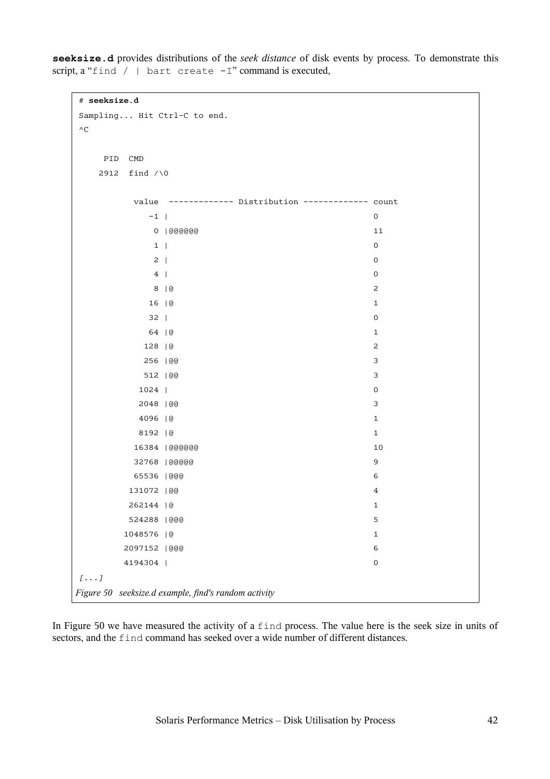**seeksize.d** provides distributions of the *seek distance* of disk events by process. To demonstrate this script, a "find  $/ \,$  | bart create  $-I$ " command is executed,

```
# seeksize.d
Sampling... Hit Ctrl-C to end.
\wedge \textsf{C} PID CMD
  2912 find /\0
    value ------------- Distribution ------------- count
-1 | 0
     0 | @@@@@@ 11
1 | 0
2 \mid 0 4 | 0
 8 |@ 2
 16 |@ 1
32 | 0
64 \mid \text{@} 1
     128 |@ 2
     256 |@@ 3
     512 |@@ 3
1024 | 0
     2048 |@@ 3
     4096 |@ 1
     8192 |@ 1
    16384 |@@@@@@ 10
    32768 |@@@@@ 9
    65536 |@@@ 6
    131072 |@@ 4
    262144 |@ 1
    524288 |@@@ 5
    1048576 |@ 1
    2097152 |@@@ 6
    4194304 | 0
[...]
Figure 50 seeksize.d example, find's random activity
```
In Figure 50 we have measured the activity of a find process. The value here is the seek size in units of sectors, and the find command has seeked over a wide number of different distances.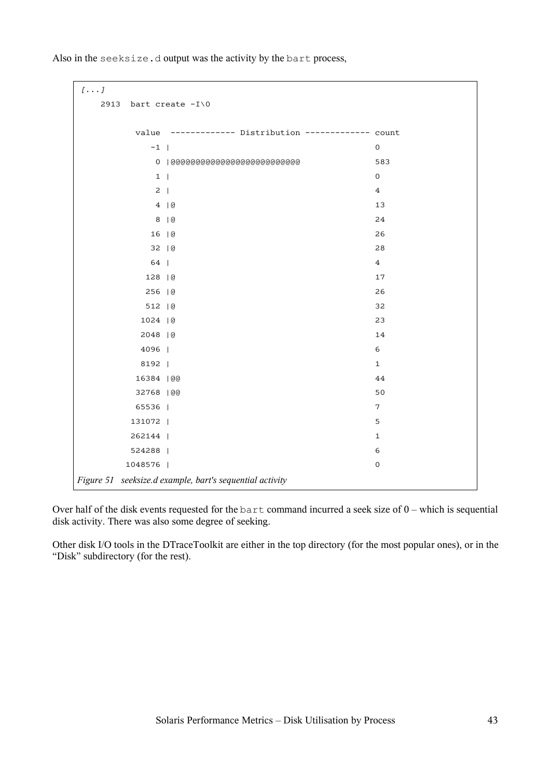Also in the seeksize.d output was the activity by the bart process,

| $[\ldots]$                                               |                                                      |                |
|----------------------------------------------------------|------------------------------------------------------|----------------|
| 2913 bart create -I\0                                    |                                                      |                |
|                                                          |                                                      |                |
|                                                          | value ------------- Distribution ------------- count |                |
| $-1$                                                     |                                                      | $\mbox{O}$     |
|                                                          |                                                      | 583            |
| $1 \mid$                                                 |                                                      | $\mathbf 0$    |
| $2 \mid$                                                 |                                                      | $\overline{4}$ |
|                                                          | 4   0                                                | 13             |
|                                                          | 8   0                                                | 24             |
| 16   @                                                   |                                                      | 26             |
| 32   @                                                   |                                                      | 28             |
| 64                                                       |                                                      | $\overline{4}$ |
| 128   @                                                  |                                                      | 17             |
| 256  @                                                   |                                                      | 26             |
| 512   @                                                  |                                                      | 32             |
| 1024  @                                                  |                                                      | 23             |
| 2048   @                                                 |                                                      | 14             |
| 4096                                                     |                                                      | 6              |
| 8192                                                     |                                                      | $\mathbf{1}$   |
| 16384   @@                                               |                                                      | 44             |
| 32768   @@                                               |                                                      | 50             |
| 65536                                                    |                                                      | 7              |
| 131072                                                   |                                                      | 5              |
| 262144                                                   |                                                      | $\mathbf{1}$   |
| 524288                                                   |                                                      | $\,$ 6 $\,$    |
| 1048576                                                  |                                                      | $\mathbf 0$    |
| Figure 51 seeksize.d example, bart's sequential activity |                                                      |                |

Over half of the disk events requested for the bart command incurred a seek size of  $0$  – which is sequential disk activity. There was also some degree of seeking.

Other disk I/O tools in the DTraceToolkit are either in the top directory (for the most popular ones), or in the "Disk" subdirectory (for the rest).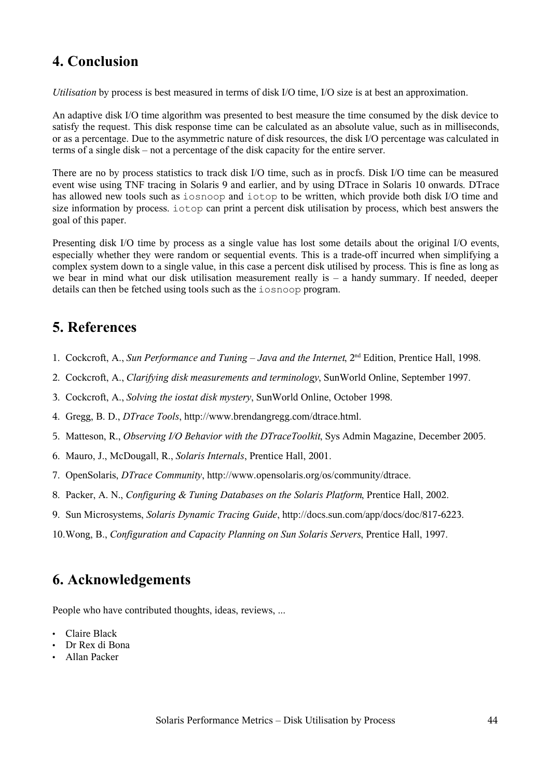# **4. Conclusion**

*Utilisation* by process is best measured in terms of disk I/O time, I/O size is at best an approximation.

An adaptive disk I/O time algorithm was presented to best measure the time consumed by the disk device to satisfy the request. This disk response time can be calculated as an absolute value, such as in milliseconds, or as a percentage. Due to the asymmetric nature of disk resources, the disk I/O percentage was calculated in terms of a single disk – not a percentage of the disk capacity for the entire server.

There are no by process statistics to track disk I/O time, such as in procfs. Disk I/O time can be measured event wise using TNF tracing in Solaris 9 and earlier, and by using DTrace in Solaris 10 onwards. DTrace has allowed new tools such as iosnoop and iotop to be written, which provide both disk I/O time and size information by process. iotop can print a percent disk utilisation by process, which best answers the goal of this paper.

Presenting disk I/O time by process as a single value has lost some details about the original I/O events, especially whether they were random or sequential events. This is a trade-off incurred when simplifying a complex system down to a single value, in this case a percent disk utilised by process. This is fine as long as we bear in mind what our disk utilisation measurement really is  $-$  a handy summary. If needed, deeper details can then be fetched using tools such as the iosnoop program.

# **5. References**

- 1. Cockcroft, A., *Sun Performance and Tuning Java and the Internet*, 2nd Edition, Prentice Hall, 1998.
- 2. Cockcroft, A., *Clarifying disk measurements and terminology*, SunWorld Online, September 1997.
- 3. Cockcroft, A., *Solving the iostat disk mystery*, SunWorld Online, October 1998.
- 4. Gregg, B. D., *DTrace Tools*, http://www.brendangregg.com/dtrace.html.
- 5. Matteson, R., *Observing I/O Behavior with the DTraceToolkit*, Sys Admin Magazine, December 2005.
- 6. Mauro, J., McDougall, R., *Solaris Internals*, Prentice Hall, 2001.
- 7. OpenSolaris, *DTrace Community*, http://www.opensolaris.org/os/community/dtrace.
- 8. Packer, A. N., *Configuring & Tuning Databases on the Solaris Platform*, Prentice Hall, 2002.
- 9. Sun Microsystems, *Solaris Dynamic Tracing Guide*, http://docs.sun.com/app/docs/doc/817-6223.
- 10.Wong, B., *Configuration and Capacity Planning on Sun Solaris Servers*, Prentice Hall, 1997.

# **6. Acknowledgements**

People who have contributed thoughts, ideas, reviews, ...

- Claire Black
- Dr Rex di Bona
- Allan Packer